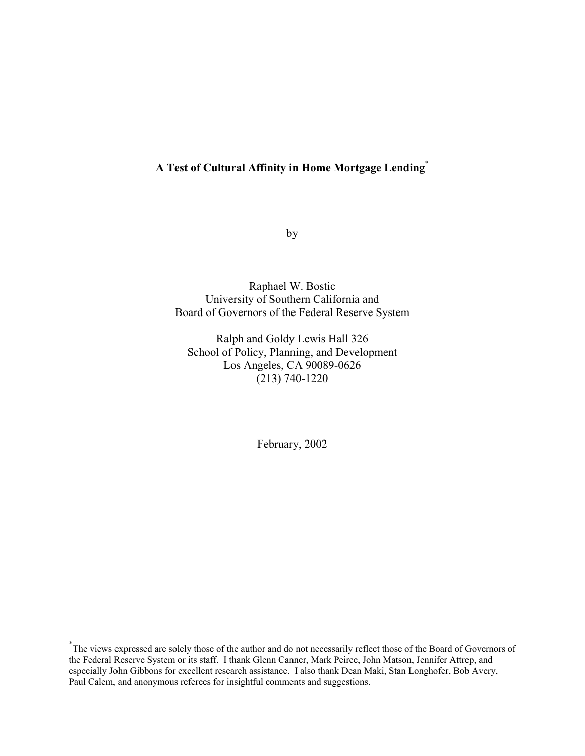## **A Test of Cultural Affinity in Home Mortgage Lending**[\\*](#page-0-0)

by

Raphael W. Bostic University of Southern California and Board of Governors of the Federal Reserve System

Ralph and Goldy Lewis Hall 326 School of Policy, Planning, and Development Los Angeles, CA 90089-0626 (213) 740-1220

February, 2002

 $\overline{a}$ 

<span id="page-0-0"></span><sup>\*</sup> The views expressed are solely those of the author and do not necessarily reflect those of the Board of Governors of the Federal Reserve System or its staff. I thank Glenn Canner, Mark Peirce, John Matson, Jennifer Attrep, and especially John Gibbons for excellent research assistance. I also thank Dean Maki, Stan Longhofer, Bob Avery, Paul Calem, and anonymous referees for insightful comments and suggestions.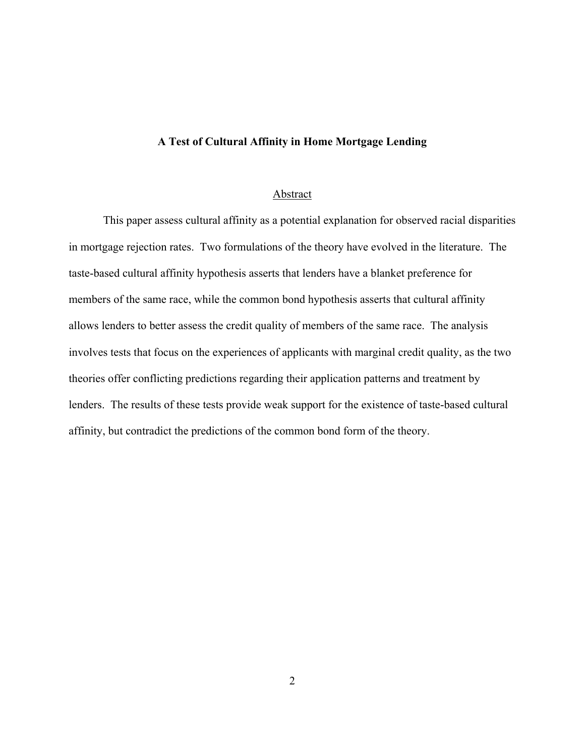### **A Test of Cultural Affinity in Home Mortgage Lending**

#### Abstract

This paper assess cultural affinity as a potential explanation for observed racial disparities in mortgage rejection rates. Two formulations of the theory have evolved in the literature. The taste-based cultural affinity hypothesis asserts that lenders have a blanket preference for members of the same race, while the common bond hypothesis asserts that cultural affinity allows lenders to better assess the credit quality of members of the same race. The analysis involves tests that focus on the experiences of applicants with marginal credit quality, as the two theories offer conflicting predictions regarding their application patterns and treatment by lenders. The results of these tests provide weak support for the existence of taste-based cultural affinity, but contradict the predictions of the common bond form of the theory.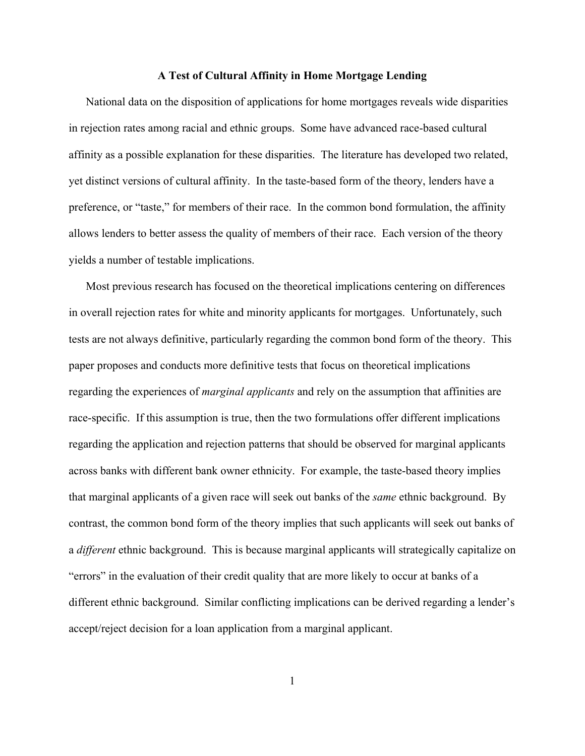#### **A Test of Cultural Affinity in Home Mortgage Lending**

National data on the disposition of applications for home mortgages reveals wide disparities in rejection rates among racial and ethnic groups. Some have advanced race-based cultural affinity as a possible explanation for these disparities. The literature has developed two related, yet distinct versions of cultural affinity. In the taste-based form of the theory, lenders have a preference, or "taste," for members of their race. In the common bond formulation, the affinity allows lenders to better assess the quality of members of their race. Each version of the theory yields a number of testable implications.

Most previous research has focused on the theoretical implications centering on differences in overall rejection rates for white and minority applicants for mortgages. Unfortunately, such tests are not always definitive, particularly regarding the common bond form of the theory. This paper proposes and conducts more definitive tests that focus on theoretical implications regarding the experiences of *marginal applicants* and rely on the assumption that affinities are race-specific. If this assumption is true, then the two formulations offer different implications regarding the application and rejection patterns that should be observed for marginal applicants across banks with different bank owner ethnicity. For example, the taste-based theory implies that marginal applicants of a given race will seek out banks of the *same* ethnic background. By contrast, the common bond form of the theory implies that such applicants will seek out banks of a *different* ethnic background. This is because marginal applicants will strategically capitalize on "errors" in the evaluation of their credit quality that are more likely to occur at banks of a different ethnic background. Similar conflicting implications can be derived regarding a lender's accept/reject decision for a loan application from a marginal applicant.

1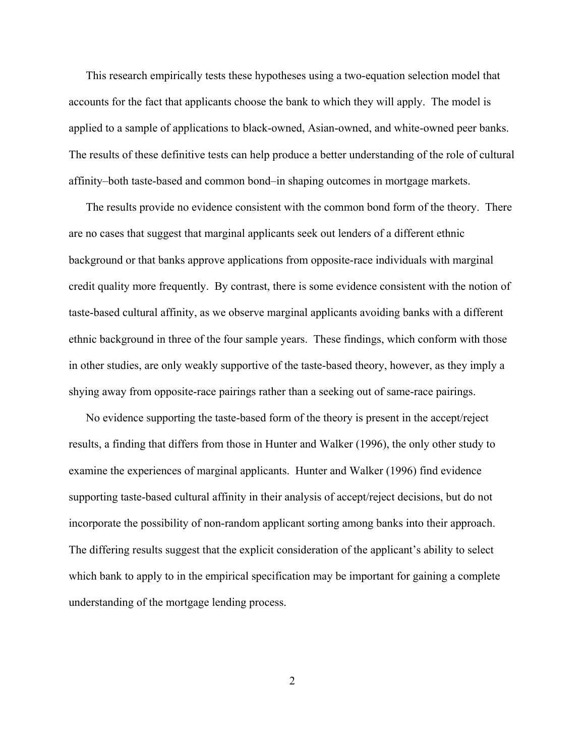This research empirically tests these hypotheses using a two-equation selection model that accounts for the fact that applicants choose the bank to which they will apply. The model is applied to a sample of applications to black-owned, Asian-owned, and white-owned peer banks. The results of these definitive tests can help produce a better understanding of the role of cultural affinity–both taste-based and common bond–in shaping outcomes in mortgage markets.

The results provide no evidence consistent with the common bond form of the theory. There are no cases that suggest that marginal applicants seek out lenders of a different ethnic background or that banks approve applications from opposite-race individuals with marginal credit quality more frequently. By contrast, there is some evidence consistent with the notion of taste-based cultural affinity, as we observe marginal applicants avoiding banks with a different ethnic background in three of the four sample years. These findings, which conform with those in other studies, are only weakly supportive of the taste-based theory, however, as they imply a shying away from opposite-race pairings rather than a seeking out of same-race pairings.

No evidence supporting the taste-based form of the theory is present in the accept/reject results, a finding that differs from those in Hunter and Walker (1996), the only other study to examine the experiences of marginal applicants. Hunter and Walker (1996) find evidence supporting taste-based cultural affinity in their analysis of accept/reject decisions, but do not incorporate the possibility of non-random applicant sorting among banks into their approach. The differing results suggest that the explicit consideration of the applicant's ability to select which bank to apply to in the empirical specification may be important for gaining a complete understanding of the mortgage lending process.

2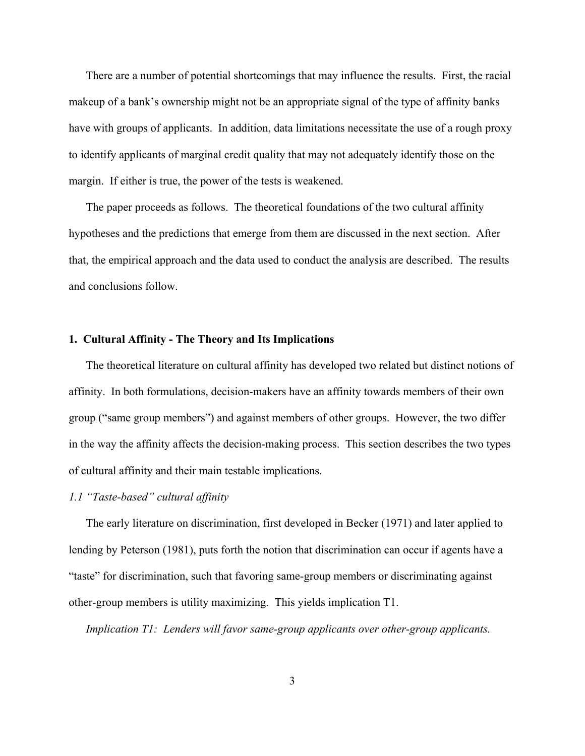There are a number of potential shortcomings that may influence the results. First, the racial makeup of a bank's ownership might not be an appropriate signal of the type of affinity banks have with groups of applicants. In addition, data limitations necessitate the use of a rough proxy to identify applicants of marginal credit quality that may not adequately identify those on the margin. If either is true, the power of the tests is weakened.

The paper proceeds as follows. The theoretical foundations of the two cultural affinity hypotheses and the predictions that emerge from them are discussed in the next section. After that, the empirical approach and the data used to conduct the analysis are described. The results and conclusions follow.

#### **1. Cultural Affinity - The Theory and Its Implications**

The theoretical literature on cultural affinity has developed two related but distinct notions of affinity. In both formulations, decision-makers have an affinity towards members of their own group ("same group members") and against members of other groups. However, the two differ in the way the affinity affects the decision-making process. This section describes the two types of cultural affinity and their main testable implications.

#### *1.1 "Taste-based" cultural affinity*

The early literature on discrimination, first developed in Becker (1971) and later applied to lending by Peterson (1981), puts forth the notion that discrimination can occur if agents have a "taste" for discrimination, such that favoring same-group members or discriminating against other-group members is utility maximizing. This yields implication T1.

*Implication T1: Lenders will favor same-group applicants over other-group applicants.*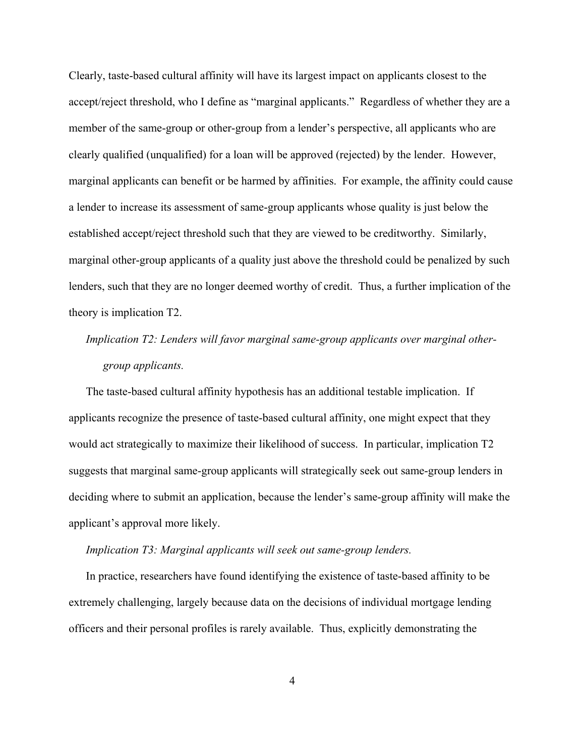Clearly, taste-based cultural affinity will have its largest impact on applicants closest to the accept/reject threshold, who I define as "marginal applicants." Regardless of whether they are a member of the same-group or other-group from a lender's perspective, all applicants who are clearly qualified (unqualified) for a loan will be approved (rejected) by the lender. However, marginal applicants can benefit or be harmed by affinities. For example, the affinity could cause a lender to increase its assessment of same-group applicants whose quality is just below the established accept/reject threshold such that they are viewed to be creditworthy. Similarly, marginal other-group applicants of a quality just above the threshold could be penalized by such lenders, such that they are no longer deemed worthy of credit. Thus, a further implication of the theory is implication T2.

# *Implication T2: Lenders will favor marginal same-group applicants over marginal othergroup applicants.*

The taste-based cultural affinity hypothesis has an additional testable implication. If applicants recognize the presence of taste-based cultural affinity, one might expect that they would act strategically to maximize their likelihood of success. In particular, implication T2 suggests that marginal same-group applicants will strategically seek out same-group lenders in deciding where to submit an application, because the lender's same-group affinity will make the applicant's approval more likely.

#### *Implication T3: Marginal applicants will seek out same-group lenders.*

In practice, researchers have found identifying the existence of taste-based affinity to be extremely challenging, largely because data on the decisions of individual mortgage lending officers and their personal profiles is rarely available. Thus, explicitly demonstrating the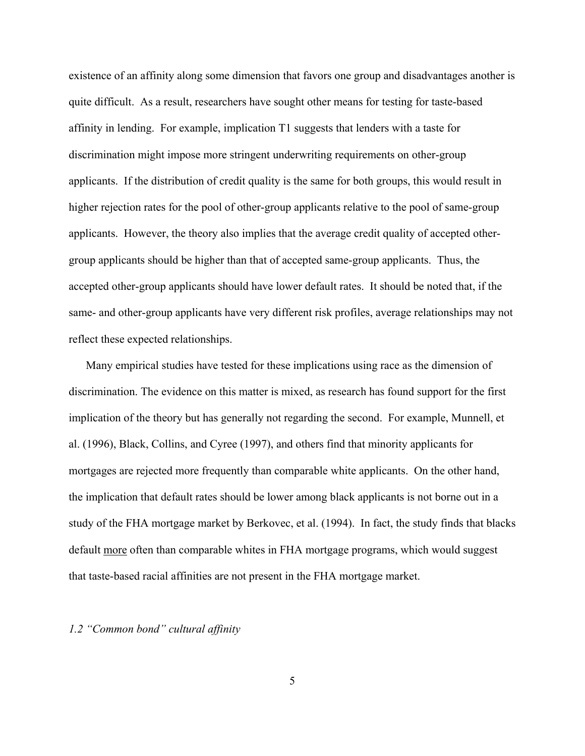existence of an affinity along some dimension that favors one group and disadvantages another is quite difficult. As a result, researchers have sought other means for testing for taste-based affinity in lending. For example, implication T1 suggests that lenders with a taste for discrimination might impose more stringent underwriting requirements on other-group applicants. If the distribution of credit quality is the same for both groups, this would result in higher rejection rates for the pool of other-group applicants relative to the pool of same-group applicants. However, the theory also implies that the average credit quality of accepted othergroup applicants should be higher than that of accepted same-group applicants. Thus, the accepted other-group applicants should have lower default rates. It should be noted that, if the same- and other-group applicants have very different risk profiles, average relationships may not reflect these expected relationships.

Many empirical studies have tested for these implications using race as the dimension of discrimination. The evidence on this matter is mixed, as research has found support for the first implication of the theory but has generally not regarding the second. For example, Munnell, et al. (1996), Black, Collins, and Cyree (1997), and others find that minority applicants for mortgages are rejected more frequently than comparable white applicants. On the other hand, the implication that default rates should be lower among black applicants is not borne out in a study of the FHA mortgage market by Berkovec, et al. (1994). In fact, the study finds that blacks default more often than comparable whites in FHA mortgage programs, which would suggest that taste-based racial affinities are not present in the FHA mortgage market.

#### *1.2 "Common bond" cultural affinity*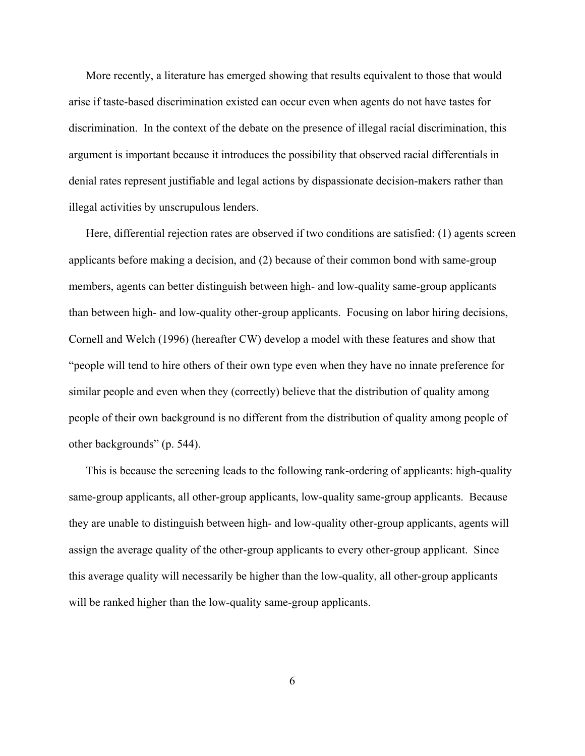More recently, a literature has emerged showing that results equivalent to those that would arise if taste-based discrimination existed can occur even when agents do not have tastes for discrimination. In the context of the debate on the presence of illegal racial discrimination, this argument is important because it introduces the possibility that observed racial differentials in denial rates represent justifiable and legal actions by dispassionate decision-makers rather than illegal activities by unscrupulous lenders.

Here, differential rejection rates are observed if two conditions are satisfied: (1) agents screen applicants before making a decision, and (2) because of their common bond with same-group members, agents can better distinguish between high- and low-quality same-group applicants than between high- and low-quality other-group applicants. Focusing on labor hiring decisions, Cornell and Welch (1996) (hereafter CW) develop a model with these features and show that "people will tend to hire others of their own type even when they have no innate preference for similar people and even when they (correctly) believe that the distribution of quality among people of their own background is no different from the distribution of quality among people of other backgrounds" (p. 544).

This is because the screening leads to the following rank-ordering of applicants: high-quality same-group applicants, all other-group applicants, low-quality same-group applicants. Because they are unable to distinguish between high- and low-quality other-group applicants, agents will assign the average quality of the other-group applicants to every other-group applicant. Since this average quality will necessarily be higher than the low-quality, all other-group applicants will be ranked higher than the low-quality same-group applicants.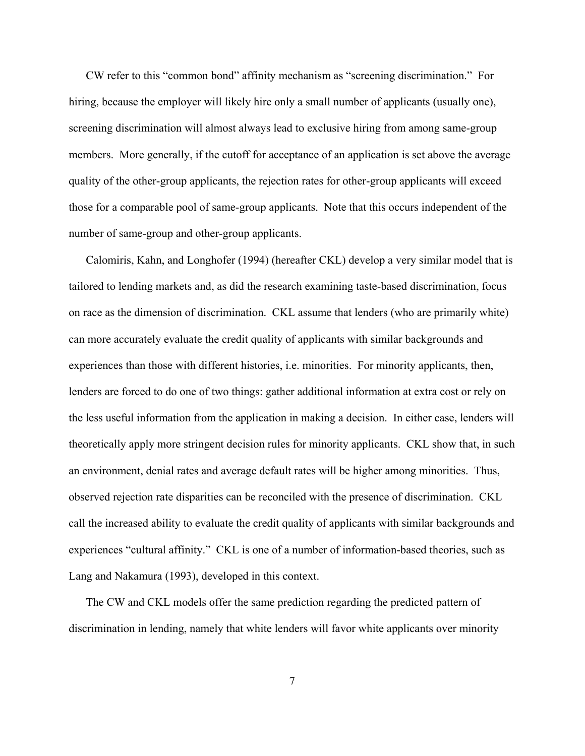CW refer to this "common bond" affinity mechanism as "screening discrimination." For hiring, because the employer will likely hire only a small number of applicants (usually one), screening discrimination will almost always lead to exclusive hiring from among same-group members. More generally, if the cutoff for acceptance of an application is set above the average quality of the other-group applicants, the rejection rates for other-group applicants will exceed those for a comparable pool of same-group applicants. Note that this occurs independent of the number of same-group and other-group applicants.

Calomiris, Kahn, and Longhofer (1994) (hereafter CKL) develop a very similar model that is tailored to lending markets and, as did the research examining taste-based discrimination, focus on race as the dimension of discrimination. CKL assume that lenders (who are primarily white) can more accurately evaluate the credit quality of applicants with similar backgrounds and experiences than those with different histories, i.e. minorities. For minority applicants, then, lenders are forced to do one of two things: gather additional information at extra cost or rely on the less useful information from the application in making a decision. In either case, lenders will theoretically apply more stringent decision rules for minority applicants. CKL show that, in such an environment, denial rates and average default rates will be higher among minorities. Thus, observed rejection rate disparities can be reconciled with the presence of discrimination. CKL call the increased ability to evaluate the credit quality of applicants with similar backgrounds and experiences "cultural affinity." CKL is one of a number of information-based theories, such as Lang and Nakamura (1993), developed in this context.

The CW and CKL models offer the same prediction regarding the predicted pattern of discrimination in lending, namely that white lenders will favor white applicants over minority

7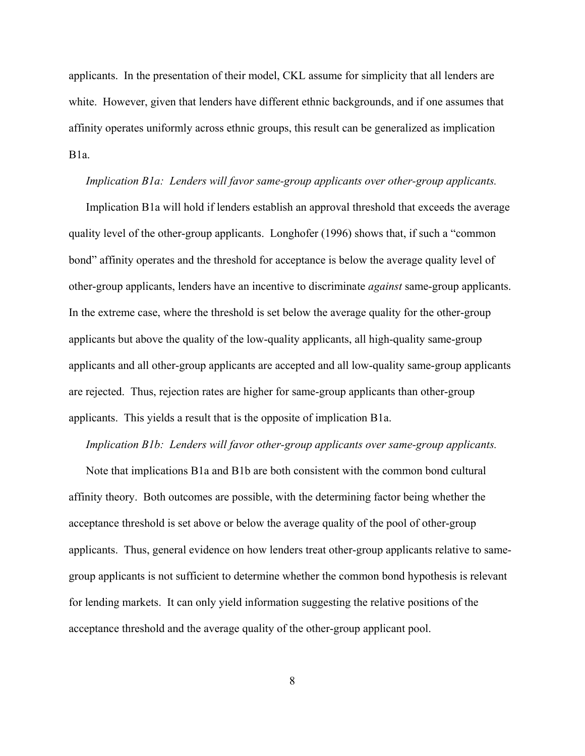applicants. In the presentation of their model, CKL assume for simplicity that all lenders are white. However, given that lenders have different ethnic backgrounds, and if one assumes that affinity operates uniformly across ethnic groups, this result can be generalized as implication B1a.

#### *Implication B1a: Lenders will favor same-group applicants over other-group applicants.*

Implication B1a will hold if lenders establish an approval threshold that exceeds the average quality level of the other-group applicants. Longhofer (1996) shows that, if such a "common bond" affinity operates and the threshold for acceptance is below the average quality level of other-group applicants, lenders have an incentive to discriminate *against* same-group applicants. In the extreme case, where the threshold is set below the average quality for the other-group applicants but above the quality of the low-quality applicants, all high-quality same-group applicants and all other-group applicants are accepted and all low-quality same-group applicants are rejected. Thus, rejection rates are higher for same-group applicants than other-group applicants. This yields a result that is the opposite of implication B1a.

#### *Implication B1b: Lenders will favor other-group applicants over same-group applicants.*

Note that implications B1a and B1b are both consistent with the common bond cultural affinity theory. Both outcomes are possible, with the determining factor being whether the acceptance threshold is set above or below the average quality of the pool of other-group applicants. Thus, general evidence on how lenders treat other-group applicants relative to samegroup applicants is not sufficient to determine whether the common bond hypothesis is relevant for lending markets. It can only yield information suggesting the relative positions of the acceptance threshold and the average quality of the other-group applicant pool.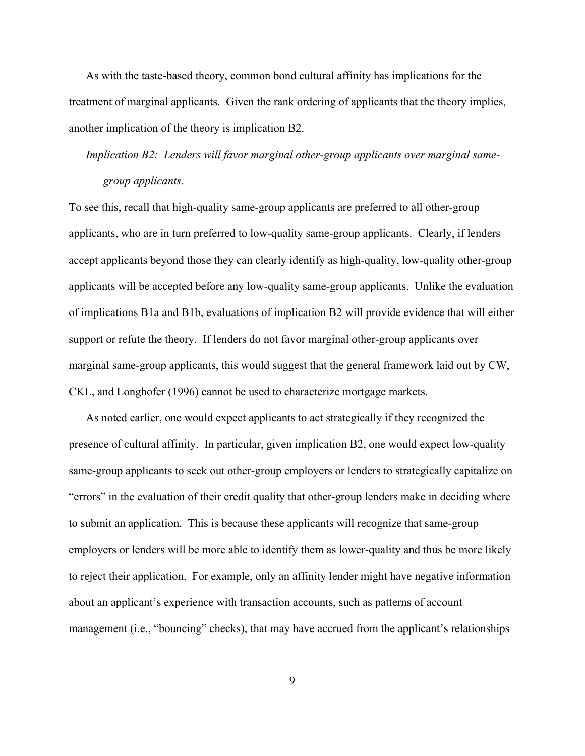As with the taste-based theory, common bond cultural affinity has implications for the treatment of marginal applicants. Given the rank ordering of applicants that the theory implies, another implication of the theory is implication B2.

*Implication B2: Lenders will favor marginal other-group applicants over marginal samegroup applicants.*

To see this, recall that high-quality same-group applicants are preferred to all other-group applicants, who are in turn preferred to low-quality same-group applicants. Clearly, if lenders accept applicants beyond those they can clearly identify as high-quality, low-quality other-group applicants will be accepted before any low-quality same-group applicants. Unlike the evaluation of implications B1a and B1b, evaluations of implication B2 will provide evidence that will either support or refute the theory. If lenders do not favor marginal other-group applicants over marginal same-group applicants, this would suggest that the general framework laid out by CW, CKL, and Longhofer (1996) cannot be used to characterize mortgage markets.

As noted earlier, one would expect applicants to act strategically if they recognized the presence of cultural affinity. In particular, given implication B2, one would expect low-quality same-group applicants to seek out other-group employers or lenders to strategically capitalize on "errors" in the evaluation of their credit quality that other-group lenders make in deciding where to submit an application. This is because these applicants will recognize that same-group employers or lenders will be more able to identify them as lower-quality and thus be more likely to reject their application. For example, only an affinity lender might have negative information about an applicant's experience with transaction accounts, such as patterns of account management (i.e., "bouncing" checks), that may have accrued from the applicant's relationships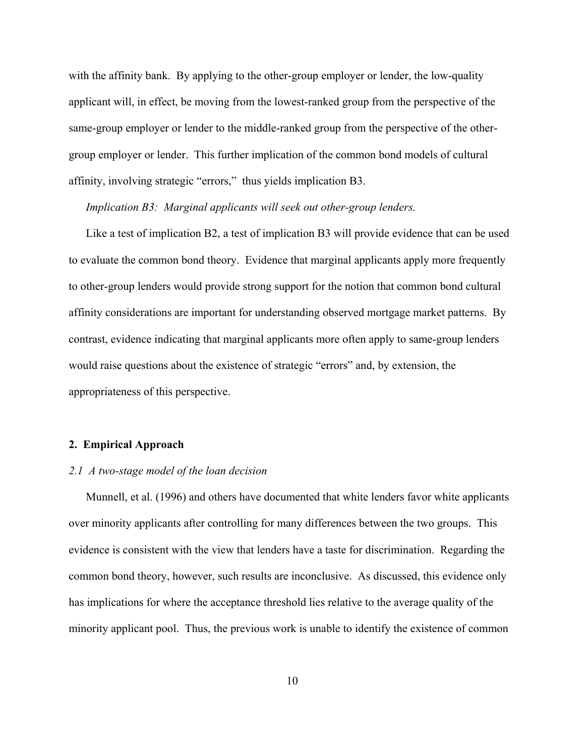with the affinity bank. By applying to the other-group employer or lender, the low-quality applicant will, in effect, be moving from the lowest-ranked group from the perspective of the same-group employer or lender to the middle-ranked group from the perspective of the othergroup employer or lender. This further implication of the common bond models of cultural affinity, involving strategic "errors," thus yields implication B3.

*Implication B3: Marginal applicants will seek out other-group lenders.* 

Like a test of implication B2, a test of implication B3 will provide evidence that can be used to evaluate the common bond theory. Evidence that marginal applicants apply more frequently to other-group lenders would provide strong support for the notion that common bond cultural affinity considerations are important for understanding observed mortgage market patterns. By contrast, evidence indicating that marginal applicants more often apply to same-group lenders would raise questions about the existence of strategic "errors" and, by extension, the appropriateness of this perspective.

#### **2. Empirical Approach**

#### *2.1 A two-stage model of the loan decision*

Munnell, et al. (1996) and others have documented that white lenders favor white applicants over minority applicants after controlling for many differences between the two groups. This evidence is consistent with the view that lenders have a taste for discrimination. Regarding the common bond theory, however, such results are inconclusive. As discussed, this evidence only has implications for where the acceptance threshold lies relative to the average quality of the minority applicant pool. Thus, the previous work is unable to identify the existence of common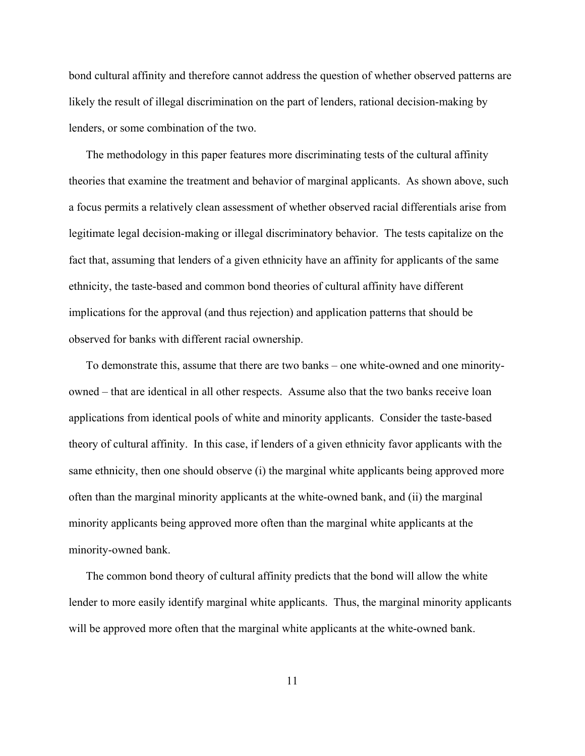bond cultural affinity and therefore cannot address the question of whether observed patterns are likely the result of illegal discrimination on the part of lenders, rational decision-making by lenders, or some combination of the two.

The methodology in this paper features more discriminating tests of the cultural affinity theories that examine the treatment and behavior of marginal applicants. As shown above, such a focus permits a relatively clean assessment of whether observed racial differentials arise from legitimate legal decision-making or illegal discriminatory behavior. The tests capitalize on the fact that, assuming that lenders of a given ethnicity have an affinity for applicants of the same ethnicity, the taste-based and common bond theories of cultural affinity have different implications for the approval (and thus rejection) and application patterns that should be observed for banks with different racial ownership.

To demonstrate this, assume that there are two banks – one white-owned and one minorityowned – that are identical in all other respects. Assume also that the two banks receive loan applications from identical pools of white and minority applicants. Consider the taste-based theory of cultural affinity. In this case, if lenders of a given ethnicity favor applicants with the same ethnicity, then one should observe (i) the marginal white applicants being approved more often than the marginal minority applicants at the white-owned bank, and (ii) the marginal minority applicants being approved more often than the marginal white applicants at the minority-owned bank.

The common bond theory of cultural affinity predicts that the bond will allow the white lender to more easily identify marginal white applicants. Thus, the marginal minority applicants will be approved more often that the marginal white applicants at the white-owned bank.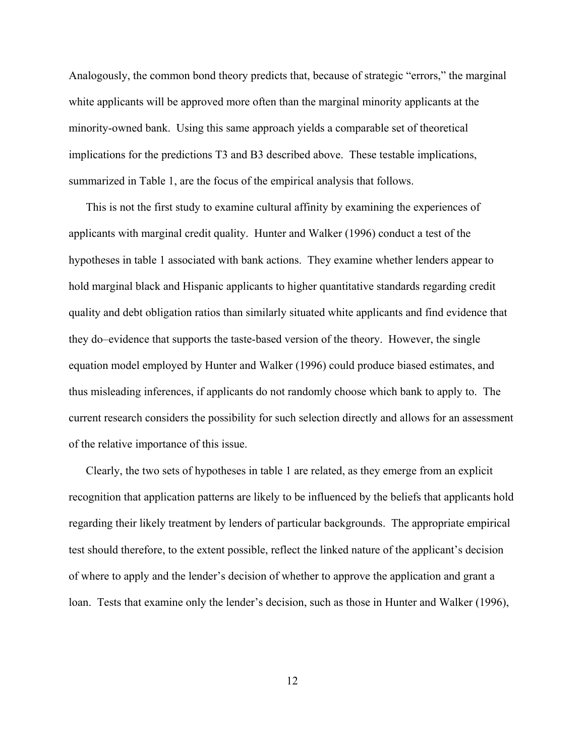Analogously, the common bond theory predicts that, because of strategic "errors," the marginal white applicants will be approved more often than the marginal minority applicants at the minority-owned bank. Using this same approach yields a comparable set of theoretical implications for the predictions T3 and B3 described above. These testable implications, summarized in Table 1, are the focus of the empirical analysis that follows.

This is not the first study to examine cultural affinity by examining the experiences of applicants with marginal credit quality. Hunter and Walker (1996) conduct a test of the hypotheses in table 1 associated with bank actions. They examine whether lenders appear to hold marginal black and Hispanic applicants to higher quantitative standards regarding credit quality and debt obligation ratios than similarly situated white applicants and find evidence that they do–evidence that supports the taste-based version of the theory. However, the single equation model employed by Hunter and Walker (1996) could produce biased estimates, and thus misleading inferences, if applicants do not randomly choose which bank to apply to. The current research considers the possibility for such selection directly and allows for an assessment of the relative importance of this issue.

Clearly, the two sets of hypotheses in table 1 are related, as they emerge from an explicit recognition that application patterns are likely to be influenced by the beliefs that applicants hold regarding their likely treatment by lenders of particular backgrounds. The appropriate empirical test should therefore, to the extent possible, reflect the linked nature of the applicant's decision of where to apply and the lender's decision of whether to approve the application and grant a loan. Tests that examine only the lender's decision, such as those in Hunter and Walker (1996),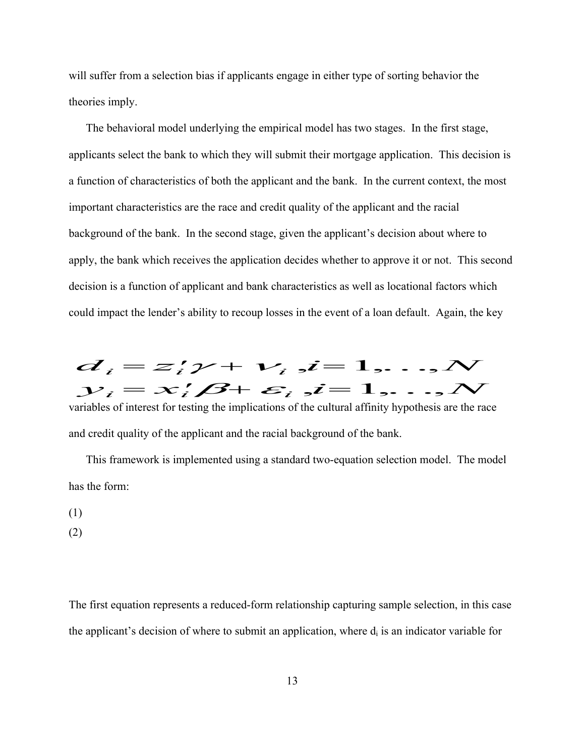will suffer from a selection bias if applicants engage in either type of sorting behavior the theories imply.

The behavioral model underlying the empirical model has two stages. In the first stage, applicants select the bank to which they will submit their mortgage application. This decision is a function of characteristics of both the applicant and the bank. In the current context, the most important characteristics are the race and credit quality of the applicant and the racial background of the bank. In the second stage, given the applicant's decision about where to apply, the bank which receives the application decides whether to approve it or not. This second decision is a function of applicant and bank characteristics as well as locational factors which could impact the lender's ability to recoup losses in the event of a loan default. Again, the key



variables of interest for testing the implications of the cultural affinity hypothesis are the race and credit quality of the applicant and the racial background of the bank.

This framework is implemented using a standard two-equation selection model. The model has the form:

- (1)
- (2)

The first equation represents a reduced-form relationship capturing sample selection, in this case the applicant's decision of where to submit an application, where  $d_i$  is an indicator variable for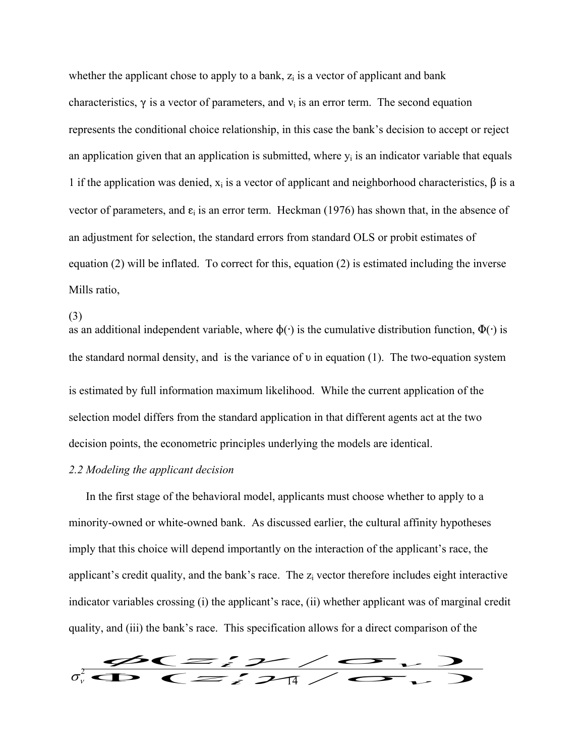whether the applicant chose to apply to a bank,  $z_i$  is a vector of applicant and bank characteristics,  $\gamma$  is a vector of parameters, and  $v_i$  is an error term. The second equation represents the conditional choice relationship, in this case the bank's decision to accept or reject an application given that an application is submitted, where  $y_i$  is an indicator variable that equals 1 if the application was denied,  $x_i$  is a vector of applicant and neighborhood characteristics,  $\beta$  is a vector of parameters, and  $\varepsilon_i$  is an error term. Heckman (1976) has shown that, in the absence of an adjustment for selection, the standard errors from standard OLS or probit estimates of equation (2) will be inflated. To correct for this, equation (2) is estimated including the inverse Mills ratio,

(3)

as an additional independent variable, where  $\phi(\cdot)$  is the cumulative distribution function,  $\Phi(\cdot)$  is the standard normal density, and is the variance of  $\nu$  in equation (1). The two-equation system is estimated by full information maximum likelihood. While the current application of the selection model differs from the standard application in that different agents act at the two decision points, the econometric principles underlying the models are identical.

## *2.2 Modeling the applicant decision*

In the first stage of the behavioral model, applicants must choose whether to apply to a minority-owned or white-owned bank. As discussed earlier, the cultural affinity hypotheses imply that this choice will depend importantly on the interaction of the applicant's race, the applicant's credit quality, and the bank's race. The z<sub>i</sub> vector therefore includes eight interactive indicator variables crossing (i) the applicant's race, (ii) whether applicant was of marginal credit quality, and (iii) the bank's race. This specification allows for a direct comparison of the se crossing (i) the applicant's race, (ii) whether applicant was of margine bank's race. This specification allows for a direct comparison of the bank's race. This specification allows for a direct comparison of the bank'  $\frac{f}{f}$  and  $\frac{f}{f}$  are the set of  $\frac{f}{f}$ 

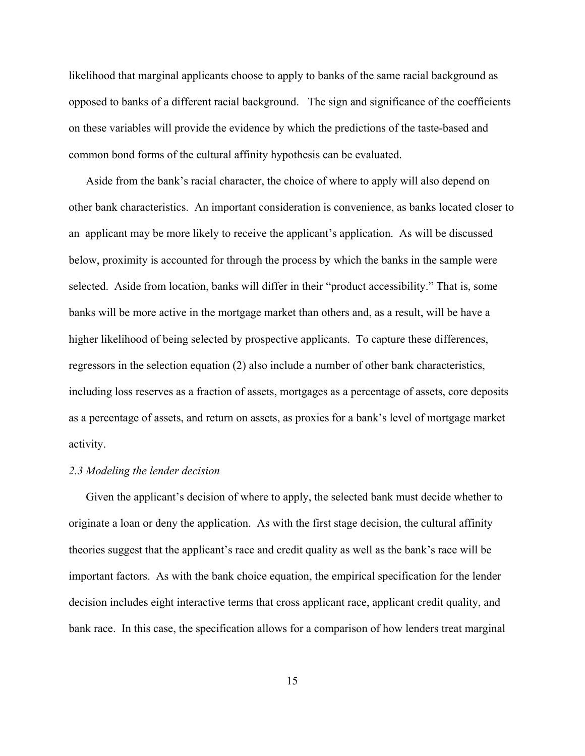likelihood that marginal applicants choose to apply to banks of the same racial background as opposed to banks of a different racial background. The sign and significance of the coefficients on these variables will provide the evidence by which the predictions of the taste-based and common bond forms of the cultural affinity hypothesis can be evaluated.

Aside from the bank's racial character, the choice of where to apply will also depend on other bank characteristics. An important consideration is convenience, as banks located closer to an applicant may be more likely to receive the applicant's application. As will be discussed below, proximity is accounted for through the process by which the banks in the sample were selected. Aside from location, banks will differ in their "product accessibility." That is, some banks will be more active in the mortgage market than others and, as a result, will be have a higher likelihood of being selected by prospective applicants. To capture these differences, regressors in the selection equation (2) also include a number of other bank characteristics, including loss reserves as a fraction of assets, mortgages as a percentage of assets, core deposits as a percentage of assets, and return on assets, as proxies for a bank's level of mortgage market activity.

#### *2.3 Modeling the lender decision*

Given the applicant's decision of where to apply, the selected bank must decide whether to originate a loan or deny the application. As with the first stage decision, the cultural affinity theories suggest that the applicant's race and credit quality as well as the bank's race will be important factors. As with the bank choice equation, the empirical specification for the lender decision includes eight interactive terms that cross applicant race, applicant credit quality, and bank race. In this case, the specification allows for a comparison of how lenders treat marginal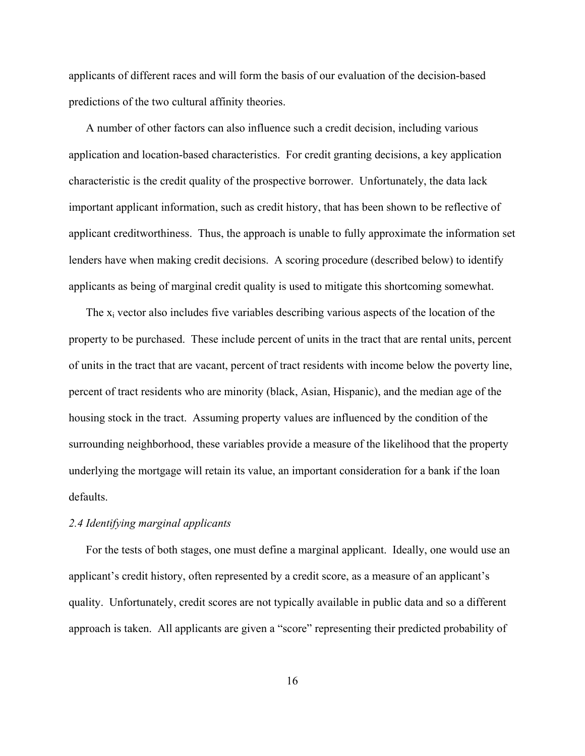applicants of different races and will form the basis of our evaluation of the decision-based predictions of the two cultural affinity theories.

A number of other factors can also influence such a credit decision, including various application and location-based characteristics. For credit granting decisions, a key application characteristic is the credit quality of the prospective borrower. Unfortunately, the data lack important applicant information, such as credit history, that has been shown to be reflective of applicant creditworthiness. Thus, the approach is unable to fully approximate the information set lenders have when making credit decisions. A scoring procedure (described below) to identify applicants as being of marginal credit quality is used to mitigate this shortcoming somewhat.

The  $x_i$  vector also includes five variables describing various aspects of the location of the property to be purchased. These include percent of units in the tract that are rental units, percent of units in the tract that are vacant, percent of tract residents with income below the poverty line, percent of tract residents who are minority (black, Asian, Hispanic), and the median age of the housing stock in the tract. Assuming property values are influenced by the condition of the surrounding neighborhood, these variables provide a measure of the likelihood that the property underlying the mortgage will retain its value, an important consideration for a bank if the loan defaults.

#### *2.4 Identifying marginal applicants*

For the tests of both stages, one must define a marginal applicant. Ideally, one would use an applicant's credit history, often represented by a credit score, as a measure of an applicant's quality. Unfortunately, credit scores are not typically available in public data and so a different approach is taken. All applicants are given a "score" representing their predicted probability of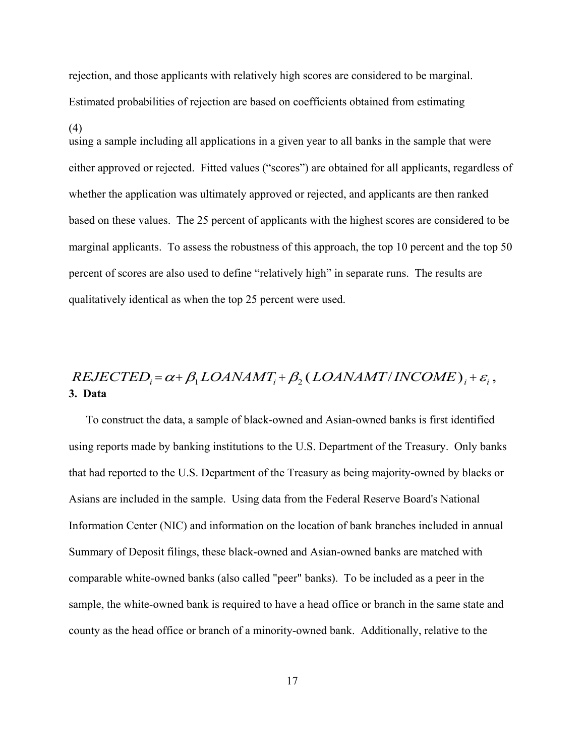rejection, and those applicants with relatively high scores are considered to be marginal. Estimated probabilities of rejection are based on coefficients obtained from estimating

#### (4)

using a sample including all applications in a given year to all banks in the sample that were either approved or rejected. Fitted values ("scores") are obtained for all applicants, regardless of whether the application was ultimately approved or rejected, and applicants are then ranked based on these values. The 25 percent of applicants with the highest scores are considered to be marginal applicants. To assess the robustness of this approach, the top 10 percent and the top 50 percent of scores are also used to define "relatively high" in separate runs. The results are qualitatively identical as when the top 25 percent were used.

# **3. Data**  $REJECTED_i = \alpha + \beta_1 LOANAMT_i + \beta_2 (LOANAMT/INCOME)_i + \varepsilon_i$

To construct the data, a sample of black-owned and Asian-owned banks is first identified using reports made by banking institutions to the U.S. Department of the Treasury. Only banks that had reported to the U.S. Department of the Treasury as being majority-owned by blacks or Asians are included in the sample. Using data from the Federal Reserve Board's National Information Center (NIC) and information on the location of bank branches included in annual Summary of Deposit filings, these black-owned and Asian-owned banks are matched with comparable white-owned banks (also called "peer" banks). To be included as a peer in the sample, the white-owned bank is required to have a head office or branch in the same state and county as the head office or branch of a minority-owned bank. Additionally, relative to the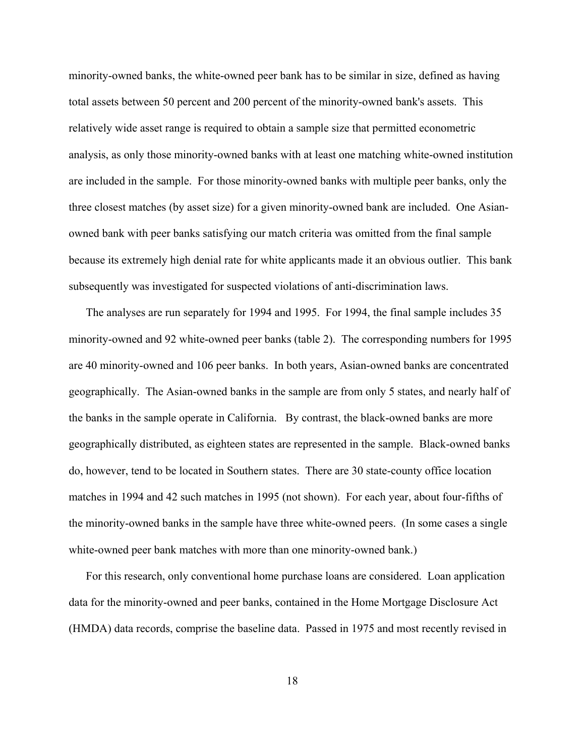minority-owned banks, the white-owned peer bank has to be similar in size, defined as having total assets between 50 percent and 200 percent of the minority-owned bank's assets. This relatively wide asset range is required to obtain a sample size that permitted econometric analysis, as only those minority-owned banks with at least one matching white-owned institution are included in the sample. For those minority-owned banks with multiple peer banks, only the three closest matches (by asset size) for a given minority-owned bank are included. One Asianowned bank with peer banks satisfying our match criteria was omitted from the final sample because its extremely high denial rate for white applicants made it an obvious outlier. This bank subsequently was investigated for suspected violations of anti-discrimination laws.

The analyses are run separately for 1994 and 1995. For 1994, the final sample includes 35 minority-owned and 92 white-owned peer banks (table 2). The corresponding numbers for 1995 are 40 minority-owned and 106 peer banks. In both years, Asian-owned banks are concentrated geographically. The Asian-owned banks in the sample are from only 5 states, and nearly half of the banks in the sample operate in California. By contrast, the black-owned banks are more geographically distributed, as eighteen states are represented in the sample. Black-owned banks do, however, tend to be located in Southern states. There are 30 state-county office location matches in 1994 and 42 such matches in 1995 (not shown). For each year, about four-fifths of the minority-owned banks in the sample have three white-owned peers. (In some cases a single white-owned peer bank matches with more than one minority-owned bank.)

For this research, only conventional home purchase loans are considered. Loan application data for the minority-owned and peer banks, contained in the Home Mortgage Disclosure Act (HMDA) data records, comprise the baseline data. Passed in 1975 and most recently revised in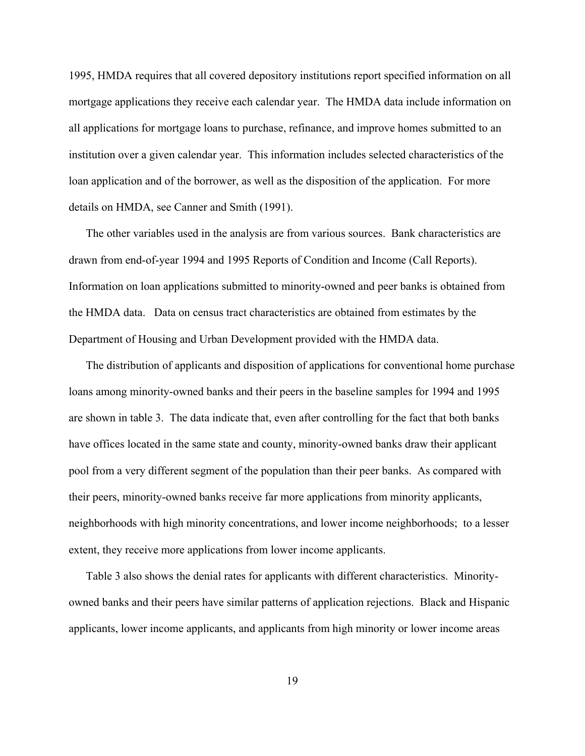1995, HMDA requires that all covered depository institutions report specified information on all mortgage applications they receive each calendar year. The HMDA data include information on all applications for mortgage loans to purchase, refinance, and improve homes submitted to an institution over a given calendar year. This information includes selected characteristics of the loan application and of the borrower, as well as the disposition of the application. For more details on HMDA, see Canner and Smith (1991).

The other variables used in the analysis are from various sources. Bank characteristics are drawn from end-of-year 1994 and 1995 Reports of Condition and Income (Call Reports). Information on loan applications submitted to minority-owned and peer banks is obtained from the HMDA data. Data on census tract characteristics are obtained from estimates by the Department of Housing and Urban Development provided with the HMDA data.

The distribution of applicants and disposition of applications for conventional home purchase loans among minority-owned banks and their peers in the baseline samples for 1994 and 1995 are shown in table 3. The data indicate that, even after controlling for the fact that both banks have offices located in the same state and county, minority-owned banks draw their applicant pool from a very different segment of the population than their peer banks. As compared with their peers, minority-owned banks receive far more applications from minority applicants, neighborhoods with high minority concentrations, and lower income neighborhoods; to a lesser extent, they receive more applications from lower income applicants.

Table 3 also shows the denial rates for applicants with different characteristics. Minorityowned banks and their peers have similar patterns of application rejections. Black and Hispanic applicants, lower income applicants, and applicants from high minority or lower income areas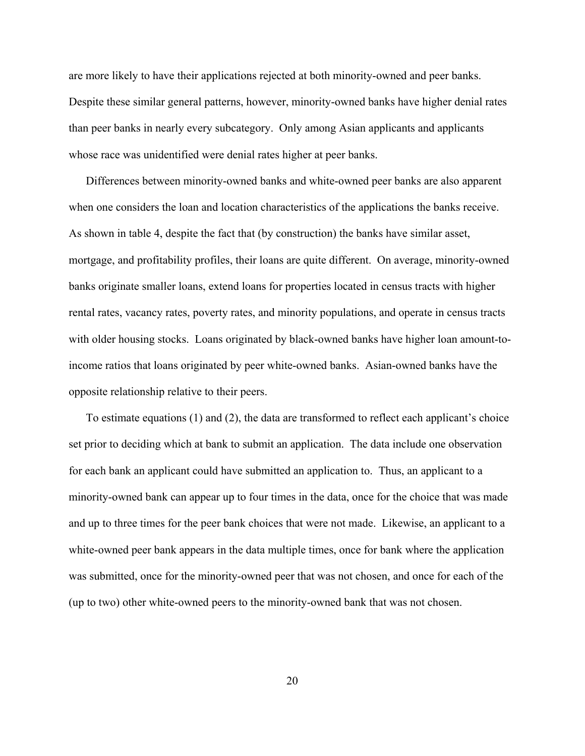are more likely to have their applications rejected at both minority-owned and peer banks. Despite these similar general patterns, however, minority-owned banks have higher denial rates than peer banks in nearly every subcategory. Only among Asian applicants and applicants whose race was unidentified were denial rates higher at peer banks.

Differences between minority-owned banks and white-owned peer banks are also apparent when one considers the loan and location characteristics of the applications the banks receive. As shown in table 4, despite the fact that (by construction) the banks have similar asset, mortgage, and profitability profiles, their loans are quite different. On average, minority-owned banks originate smaller loans, extend loans for properties located in census tracts with higher rental rates, vacancy rates, poverty rates, and minority populations, and operate in census tracts with older housing stocks. Loans originated by black-owned banks have higher loan amount-toincome ratios that loans originated by peer white-owned banks. Asian-owned banks have the opposite relationship relative to their peers.

To estimate equations (1) and (2), the data are transformed to reflect each applicant's choice set prior to deciding which at bank to submit an application. The data include one observation for each bank an applicant could have submitted an application to. Thus, an applicant to a minority-owned bank can appear up to four times in the data, once for the choice that was made and up to three times for the peer bank choices that were not made. Likewise, an applicant to a white-owned peer bank appears in the data multiple times, once for bank where the application was submitted, once for the minority-owned peer that was not chosen, and once for each of the (up to two) other white-owned peers to the minority-owned bank that was not chosen.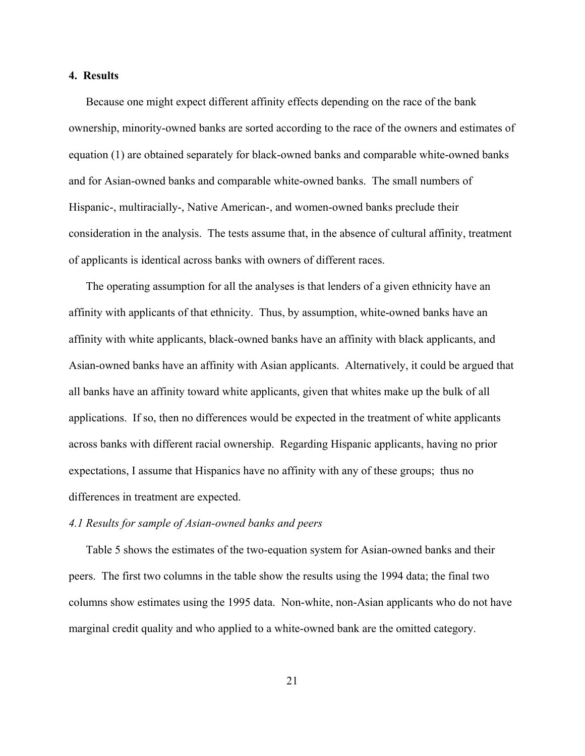#### **4. Results**

Because one might expect different affinity effects depending on the race of the bank ownership, minority-owned banks are sorted according to the race of the owners and estimates of equation (1) are obtained separately for black-owned banks and comparable white-owned banks and for Asian-owned banks and comparable white-owned banks. The small numbers of Hispanic-, multiracially-, Native American-, and women-owned banks preclude their consideration in the analysis. The tests assume that, in the absence of cultural affinity, treatment of applicants is identical across banks with owners of different races.

The operating assumption for all the analyses is that lenders of a given ethnicity have an affinity with applicants of that ethnicity. Thus, by assumption, white-owned banks have an affinity with white applicants, black-owned banks have an affinity with black applicants, and Asian-owned banks have an affinity with Asian applicants. Alternatively, it could be argued that all banks have an affinity toward white applicants, given that whites make up the bulk of all applications. If so, then no differences would be expected in the treatment of white applicants across banks with different racial ownership. Regarding Hispanic applicants, having no prior expectations, I assume that Hispanics have no affinity with any of these groups; thus no differences in treatment are expected.

#### *4.1 Results for sample of Asian-owned banks and peers*

Table 5 shows the estimates of the two-equation system for Asian-owned banks and their peers. The first two columns in the table show the results using the 1994 data; the final two columns show estimates using the 1995 data. Non-white, non-Asian applicants who do not have marginal credit quality and who applied to a white-owned bank are the omitted category.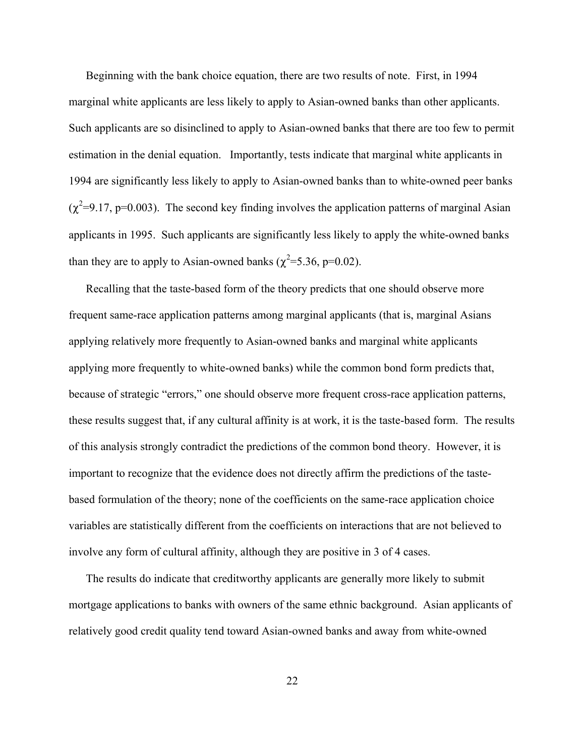Beginning with the bank choice equation, there are two results of note. First, in 1994 marginal white applicants are less likely to apply to Asian-owned banks than other applicants. Such applicants are so disinclined to apply to Asian-owned banks that there are too few to permit estimation in the denial equation. Importantly, tests indicate that marginal white applicants in 1994 are significantly less likely to apply to Asian-owned banks than to white-owned peer banks  $(\chi^2=9.17, p=0.003)$ . The second key finding involves the application patterns of marginal Asian applicants in 1995. Such applicants are significantly less likely to apply the white-owned banks than they are to apply to Asian-owned banks ( $\chi^2$ =5.36, p=0.02).

Recalling that the taste-based form of the theory predicts that one should observe more frequent same-race application patterns among marginal applicants (that is, marginal Asians applying relatively more frequently to Asian-owned banks and marginal white applicants applying more frequently to white-owned banks) while the common bond form predicts that, because of strategic "errors," one should observe more frequent cross-race application patterns, these results suggest that, if any cultural affinity is at work, it is the taste-based form. The results of this analysis strongly contradict the predictions of the common bond theory. However, it is important to recognize that the evidence does not directly affirm the predictions of the tastebased formulation of the theory; none of the coefficients on the same-race application choice variables are statistically different from the coefficients on interactions that are not believed to involve any form of cultural affinity, although they are positive in 3 of 4 cases.

The results do indicate that creditworthy applicants are generally more likely to submit mortgage applications to banks with owners of the same ethnic background. Asian applicants of relatively good credit quality tend toward Asian-owned banks and away from white-owned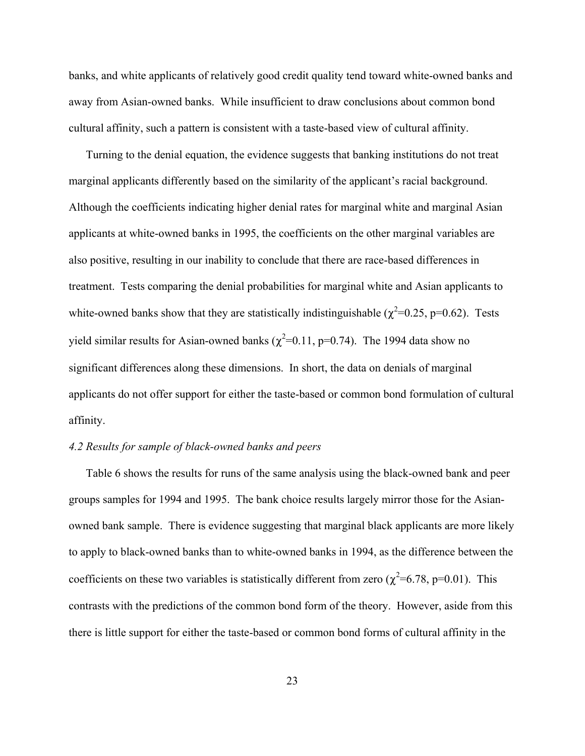banks, and white applicants of relatively good credit quality tend toward white-owned banks and away from Asian-owned banks. While insufficient to draw conclusions about common bond cultural affinity, such a pattern is consistent with a taste-based view of cultural affinity.

Turning to the denial equation, the evidence suggests that banking institutions do not treat marginal applicants differently based on the similarity of the applicant's racial background. Although the coefficients indicating higher denial rates for marginal white and marginal Asian applicants at white-owned banks in 1995, the coefficients on the other marginal variables are also positive, resulting in our inability to conclude that there are race-based differences in treatment. Tests comparing the denial probabilities for marginal white and Asian applicants to white-owned banks show that they are statistically indistinguishable ( $\chi^2$ =0.25, p=0.62). Tests yield similar results for Asian-owned banks ( $\chi^2$ =0.11, p=0.74). The 1994 data show no significant differences along these dimensions. In short, the data on denials of marginal applicants do not offer support for either the taste-based or common bond formulation of cultural affinity.

#### *4.2 Results for sample of black-owned banks and peers*

Table 6 shows the results for runs of the same analysis using the black-owned bank and peer groups samples for 1994 and 1995. The bank choice results largely mirror those for the Asianowned bank sample. There is evidence suggesting that marginal black applicants are more likely to apply to black-owned banks than to white-owned banks in 1994, as the difference between the coefficients on these two variables is statistically different from zero ( $\chi^2$ =6.78, p=0.01). This contrasts with the predictions of the common bond form of the theory. However, aside from this there is little support for either the taste-based or common bond forms of cultural affinity in the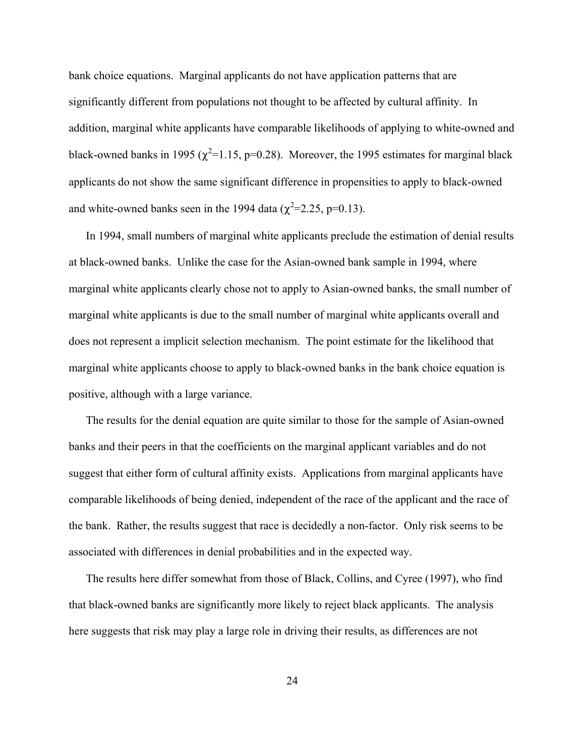bank choice equations. Marginal applicants do not have application patterns that are significantly different from populations not thought to be affected by cultural affinity. In addition, marginal white applicants have comparable likelihoods of applying to white-owned and black-owned banks in 1995 ( $\chi^2$ =1.15, p=0.28). Moreover, the 1995 estimates for marginal black applicants do not show the same significant difference in propensities to apply to black-owned and white-owned banks seen in the 1994 data ( $\chi^2$ =2.25, p=0.13).

In 1994, small numbers of marginal white applicants preclude the estimation of denial results at black-owned banks. Unlike the case for the Asian-owned bank sample in 1994, where marginal white applicants clearly chose not to apply to Asian-owned banks, the small number of marginal white applicants is due to the small number of marginal white applicants overall and does not represent a implicit selection mechanism. The point estimate for the likelihood that marginal white applicants choose to apply to black-owned banks in the bank choice equation is positive, although with a large variance.

The results for the denial equation are quite similar to those for the sample of Asian-owned banks and their peers in that the coefficients on the marginal applicant variables and do not suggest that either form of cultural affinity exists. Applications from marginal applicants have comparable likelihoods of being denied, independent of the race of the applicant and the race of the bank. Rather, the results suggest that race is decidedly a non-factor. Only risk seems to be associated with differences in denial probabilities and in the expected way.

The results here differ somewhat from those of Black, Collins, and Cyree (1997), who find that black-owned banks are significantly more likely to reject black applicants. The analysis here suggests that risk may play a large role in driving their results, as differences are not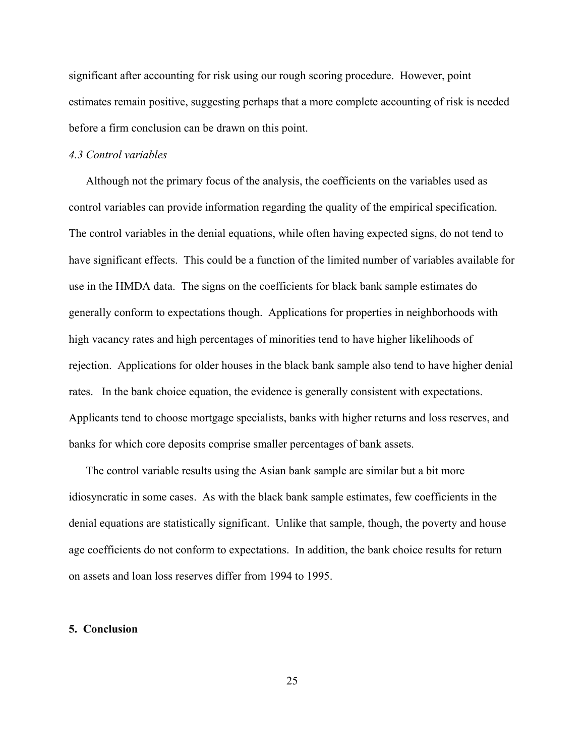significant after accounting for risk using our rough scoring procedure. However, point estimates remain positive, suggesting perhaps that a more complete accounting of risk is needed before a firm conclusion can be drawn on this point.

#### *4.3 Control variables*

Although not the primary focus of the analysis, the coefficients on the variables used as control variables can provide information regarding the quality of the empirical specification. The control variables in the denial equations, while often having expected signs, do not tend to have significant effects. This could be a function of the limited number of variables available for use in the HMDA data. The signs on the coefficients for black bank sample estimates do generally conform to expectations though. Applications for properties in neighborhoods with high vacancy rates and high percentages of minorities tend to have higher likelihoods of rejection. Applications for older houses in the black bank sample also tend to have higher denial rates. In the bank choice equation, the evidence is generally consistent with expectations. Applicants tend to choose mortgage specialists, banks with higher returns and loss reserves, and banks for which core deposits comprise smaller percentages of bank assets.

The control variable results using the Asian bank sample are similar but a bit more idiosyncratic in some cases. As with the black bank sample estimates, few coefficients in the denial equations are statistically significant. Unlike that sample, though, the poverty and house age coefficients do not conform to expectations. In addition, the bank choice results for return on assets and loan loss reserves differ from 1994 to 1995.

#### **5. Conclusion**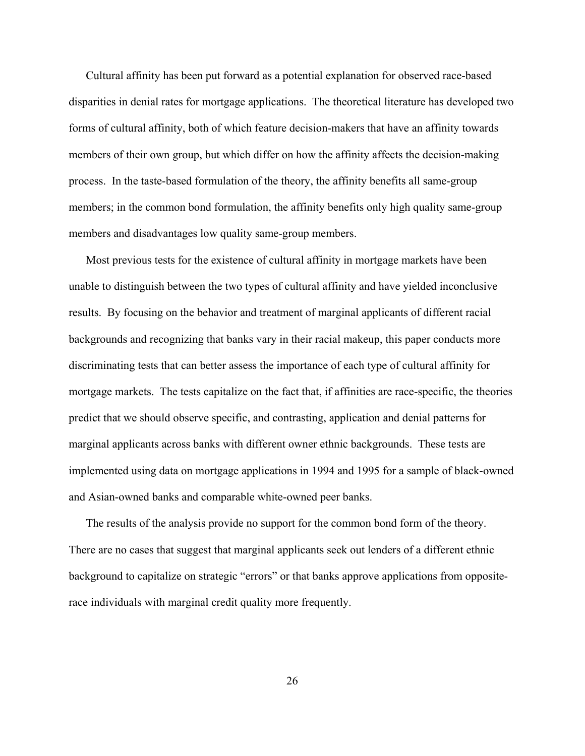Cultural affinity has been put forward as a potential explanation for observed race-based disparities in denial rates for mortgage applications. The theoretical literature has developed two forms of cultural affinity, both of which feature decision-makers that have an affinity towards members of their own group, but which differ on how the affinity affects the decision-making process. In the taste-based formulation of the theory, the affinity benefits all same-group members; in the common bond formulation, the affinity benefits only high quality same-group members and disadvantages low quality same-group members.

Most previous tests for the existence of cultural affinity in mortgage markets have been unable to distinguish between the two types of cultural affinity and have yielded inconclusive results. By focusing on the behavior and treatment of marginal applicants of different racial backgrounds and recognizing that banks vary in their racial makeup, this paper conducts more discriminating tests that can better assess the importance of each type of cultural affinity for mortgage markets. The tests capitalize on the fact that, if affinities are race-specific, the theories predict that we should observe specific, and contrasting, application and denial patterns for marginal applicants across banks with different owner ethnic backgrounds. These tests are implemented using data on mortgage applications in 1994 and 1995 for a sample of black-owned and Asian-owned banks and comparable white-owned peer banks.

The results of the analysis provide no support for the common bond form of the theory. There are no cases that suggest that marginal applicants seek out lenders of a different ethnic background to capitalize on strategic "errors" or that banks approve applications from oppositerace individuals with marginal credit quality more frequently.

26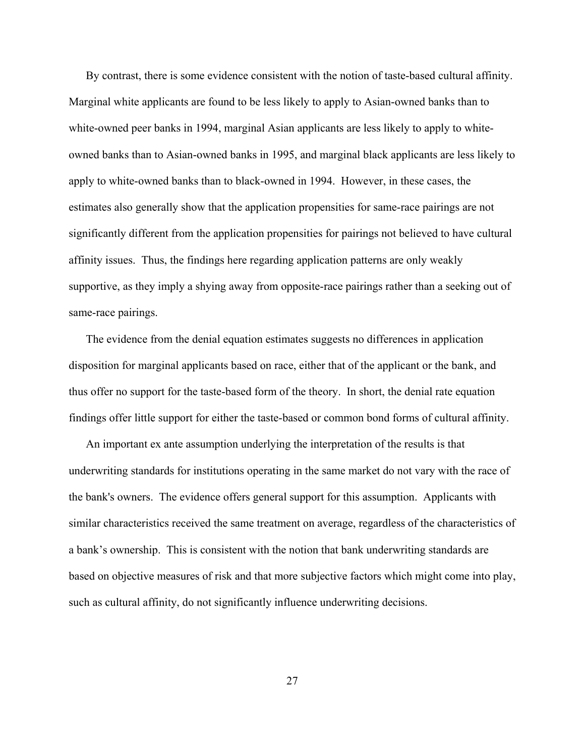By contrast, there is some evidence consistent with the notion of taste-based cultural affinity. Marginal white applicants are found to be less likely to apply to Asian-owned banks than to white-owned peer banks in 1994, marginal Asian applicants are less likely to apply to whiteowned banks than to Asian-owned banks in 1995, and marginal black applicants are less likely to apply to white-owned banks than to black-owned in 1994. However, in these cases, the estimates also generally show that the application propensities for same-race pairings are not significantly different from the application propensities for pairings not believed to have cultural affinity issues. Thus, the findings here regarding application patterns are only weakly supportive, as they imply a shying away from opposite-race pairings rather than a seeking out of same-race pairings.

The evidence from the denial equation estimates suggests no differences in application disposition for marginal applicants based on race, either that of the applicant or the bank, and thus offer no support for the taste-based form of the theory. In short, the denial rate equation findings offer little support for either the taste-based or common bond forms of cultural affinity.

An important ex ante assumption underlying the interpretation of the results is that underwriting standards for institutions operating in the same market do not vary with the race of the bank's owners. The evidence offers general support for this assumption. Applicants with similar characteristics received the same treatment on average, regardless of the characteristics of a bank's ownership. This is consistent with the notion that bank underwriting standards are based on objective measures of risk and that more subjective factors which might come into play, such as cultural affinity, do not significantly influence underwriting decisions.

27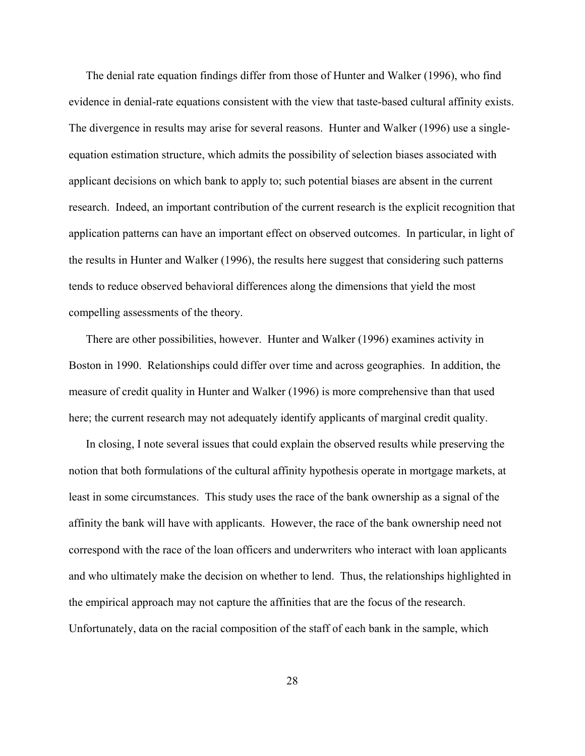The denial rate equation findings differ from those of Hunter and Walker (1996), who find evidence in denial-rate equations consistent with the view that taste-based cultural affinity exists. The divergence in results may arise for several reasons. Hunter and Walker (1996) use a singleequation estimation structure, which admits the possibility of selection biases associated with applicant decisions on which bank to apply to; such potential biases are absent in the current research. Indeed, an important contribution of the current research is the explicit recognition that application patterns can have an important effect on observed outcomes. In particular, in light of the results in Hunter and Walker (1996), the results here suggest that considering such patterns tends to reduce observed behavioral differences along the dimensions that yield the most compelling assessments of the theory.

There are other possibilities, however. Hunter and Walker (1996) examines activity in Boston in 1990. Relationships could differ over time and across geographies. In addition, the measure of credit quality in Hunter and Walker (1996) is more comprehensive than that used here; the current research may not adequately identify applicants of marginal credit quality.

In closing, I note several issues that could explain the observed results while preserving the notion that both formulations of the cultural affinity hypothesis operate in mortgage markets, at least in some circumstances. This study uses the race of the bank ownership as a signal of the affinity the bank will have with applicants. However, the race of the bank ownership need not correspond with the race of the loan officers and underwriters who interact with loan applicants and who ultimately make the decision on whether to lend. Thus, the relationships highlighted in the empirical approach may not capture the affinities that are the focus of the research. Unfortunately, data on the racial composition of the staff of each bank in the sample, which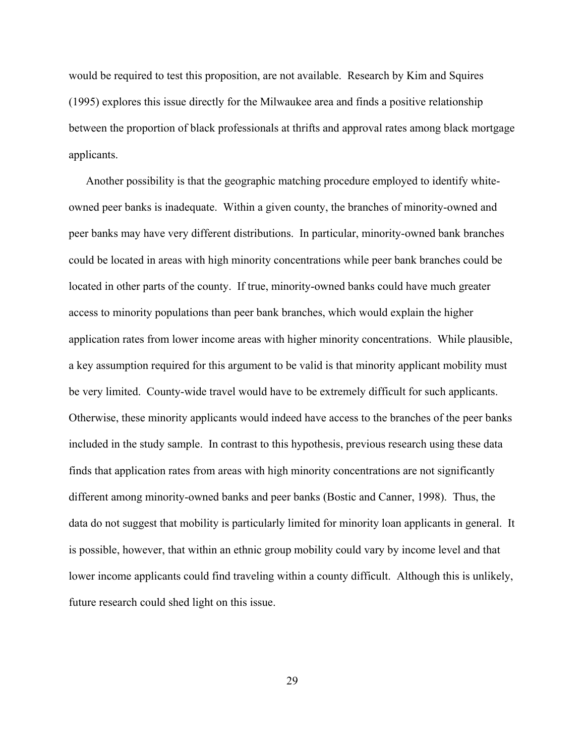would be required to test this proposition, are not available. Research by Kim and Squires (1995) explores this issue directly for the Milwaukee area and finds a positive relationship between the proportion of black professionals at thrifts and approval rates among black mortgage applicants.

Another possibility is that the geographic matching procedure employed to identify whiteowned peer banks is inadequate. Within a given county, the branches of minority-owned and peer banks may have very different distributions. In particular, minority-owned bank branches could be located in areas with high minority concentrations while peer bank branches could be located in other parts of the county. If true, minority-owned banks could have much greater access to minority populations than peer bank branches, which would explain the higher application rates from lower income areas with higher minority concentrations. While plausible, a key assumption required for this argument to be valid is that minority applicant mobility must be very limited. County-wide travel would have to be extremely difficult for such applicants. Otherwise, these minority applicants would indeed have access to the branches of the peer banks included in the study sample. In contrast to this hypothesis, previous research using these data finds that application rates from areas with high minority concentrations are not significantly different among minority-owned banks and peer banks (Bostic and Canner, 1998). Thus, the data do not suggest that mobility is particularly limited for minority loan applicants in general. It is possible, however, that within an ethnic group mobility could vary by income level and that lower income applicants could find traveling within a county difficult. Although this is unlikely, future research could shed light on this issue.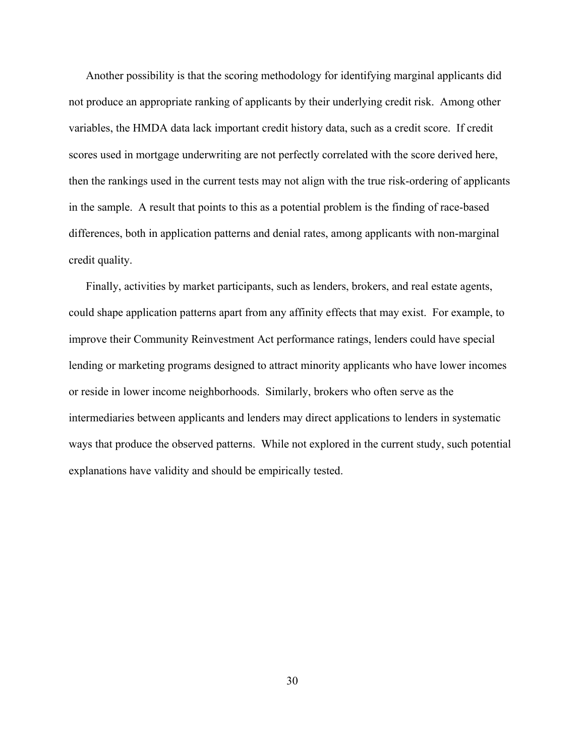Another possibility is that the scoring methodology for identifying marginal applicants did not produce an appropriate ranking of applicants by their underlying credit risk. Among other variables, the HMDA data lack important credit history data, such as a credit score. If credit scores used in mortgage underwriting are not perfectly correlated with the score derived here, then the rankings used in the current tests may not align with the true risk-ordering of applicants in the sample. A result that points to this as a potential problem is the finding of race-based differences, both in application patterns and denial rates, among applicants with non-marginal credit quality.

Finally, activities by market participants, such as lenders, brokers, and real estate agents, could shape application patterns apart from any affinity effects that may exist. For example, to improve their Community Reinvestment Act performance ratings, lenders could have special lending or marketing programs designed to attract minority applicants who have lower incomes or reside in lower income neighborhoods. Similarly, brokers who often serve as the intermediaries between applicants and lenders may direct applications to lenders in systematic ways that produce the observed patterns. While not explored in the current study, such potential explanations have validity and should be empirically tested.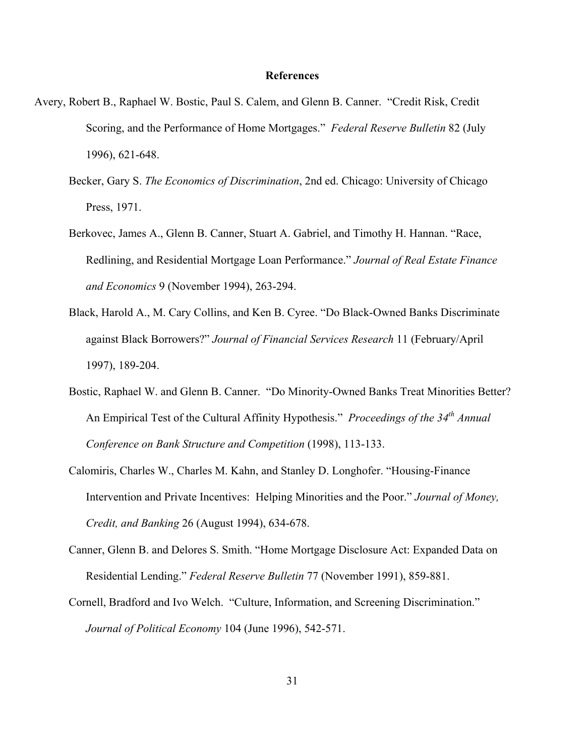#### **References**

- Avery, Robert B., Raphael W. Bostic, Paul S. Calem, and Glenn B. Canner. "Credit Risk, Credit Scoring, and the Performance of Home Mortgages." *Federal Reserve Bulletin* 82 (July 1996), 621-648.
	- Becker, Gary S. *The Economics of Discrimination*, 2nd ed. Chicago: University of Chicago Press, 1971.
	- Berkovec, James A., Glenn B. Canner, Stuart A. Gabriel, and Timothy H. Hannan. "Race, Redlining, and Residential Mortgage Loan Performance." *Journal of Real Estate Finance and Economics* 9 (November 1994), 263-294.
	- Black, Harold A., M. Cary Collins, and Ken B. Cyree. "Do Black-Owned Banks Discriminate against Black Borrowers?" *Journal of Financial Services Research* 11 (February/April 1997), 189-204.
	- Bostic, Raphael W. and Glenn B. Canner. "Do Minority-Owned Banks Treat Minorities Better? An Empirical Test of the Cultural Affinity Hypothesis." *Proceedings of the 34th Annual Conference on Bank Structure and Competition* (1998), 113-133.
	- Calomiris, Charles W., Charles M. Kahn, and Stanley D. Longhofer. "Housing-Finance Intervention and Private Incentives: Helping Minorities and the Poor." *Journal of Money, Credit, and Banking* 26 (August 1994), 634-678.
	- Canner, Glenn B. and Delores S. Smith. "Home Mortgage Disclosure Act: Expanded Data on Residential Lending." *Federal Reserve Bulletin* 77 (November 1991), 859-881.
	- Cornell, Bradford and Ivo Welch. "Culture, Information, and Screening Discrimination." *Journal of Political Economy* 104 (June 1996), 542-571.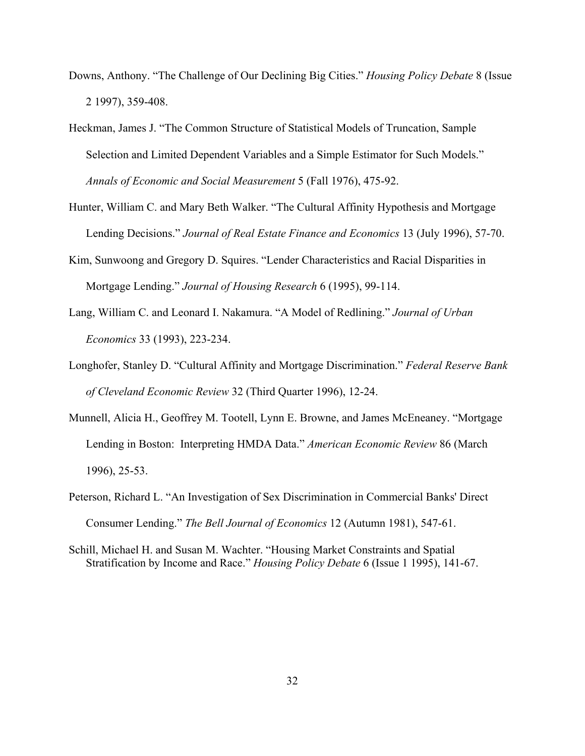- Downs, Anthony. "The Challenge of Our Declining Big Cities." *Housing Policy Debate* 8 (Issue 2 1997), 359-408.
- Heckman, James J. "The Common Structure of Statistical Models of Truncation, Sample Selection and Limited Dependent Variables and a Simple Estimator for Such Models." *Annals of Economic and Social Measurement* 5 (Fall 1976), 475-92.
- Hunter, William C. and Mary Beth Walker. "The Cultural Affinity Hypothesis and Mortgage Lending Decisions." *Journal of Real Estate Finance and Economics* 13 (July 1996), 57-70.
- Kim, Sunwoong and Gregory D. Squires. "Lender Characteristics and Racial Disparities in Mortgage Lending." *Journal of Housing Research* 6 (1995), 99-114.
- Lang, William C. and Leonard I. Nakamura. "A Model of Redlining." *Journal of Urban Economics* 33 (1993), 223-234.
- Longhofer, Stanley D. "Cultural Affinity and Mortgage Discrimination." *Federal Reserve Bank of Cleveland Economic Review* 32 (Third Quarter 1996), 12-24.
- Munnell, Alicia H., Geoffrey M. Tootell, Lynn E. Browne, and James McEneaney. "Mortgage Lending in Boston: Interpreting HMDA Data." *American Economic Review* 86 (March 1996), 25-53.
- Peterson, Richard L. "An Investigation of Sex Discrimination in Commercial Banks' Direct Consumer Lending." *The Bell Journal of Economics* 12 (Autumn 1981), 547-61.
- Schill, Michael H. and Susan M. Wachter. "Housing Market Constraints and Spatial Stratification by Income and Race." *Housing Policy Debate* 6 (Issue 1 1995), 141-67.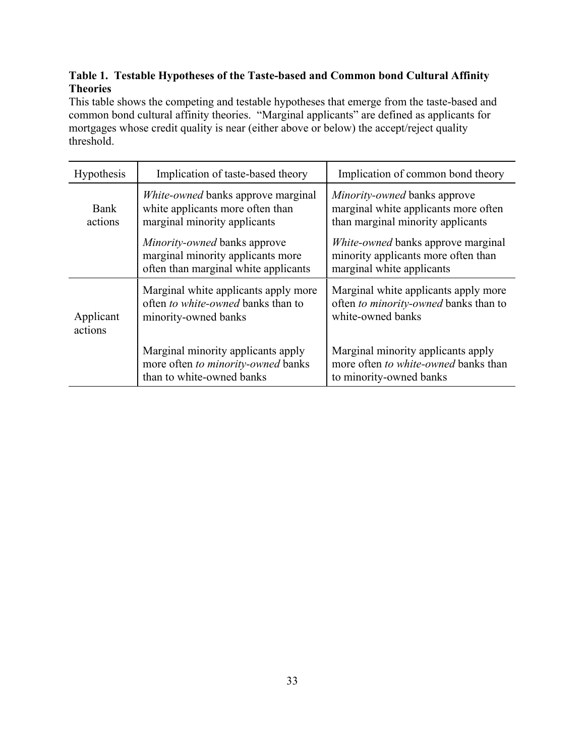## **Table 1. Testable Hypotheses of the Taste-based and Common bond Cultural Affinity Theories**

This table shows the competing and testable hypotheses that emerge from the taste-based and common bond cultural affinity theories. "Marginal applicants" are defined as applicants for mortgages whose credit quality is near (either above or below) the accept/reject quality threshold.

| <b>Hypothesis</b>    | Implication of taste-based theory                                                                                | Implication of common bond theory                                                                                |
|----------------------|------------------------------------------------------------------------------------------------------------------|------------------------------------------------------------------------------------------------------------------|
| Bank<br>actions      | <i>White-owned</i> banks approve marginal<br>white applicants more often than<br>marginal minority applicants    | <i>Minority-owned</i> banks approve<br>marginal white applicants more often<br>than marginal minority applicants |
|                      | <i>Minority-owned</i> banks approve<br>marginal minority applicants more<br>often than marginal white applicants | <i>White-owned</i> banks approve marginal<br>minority applicants more often than<br>marginal white applicants    |
| Applicant<br>actions | Marginal white applicants apply more<br>often to white-owned banks than to<br>minority-owned banks               | Marginal white applicants apply more<br>often to minority-owned banks than to<br>white-owned banks               |
|                      | Marginal minority applicants apply<br>more often to minority-owned banks<br>than to white-owned banks            | Marginal minority applicants apply<br>more often to white-owned banks than<br>to minority-owned banks            |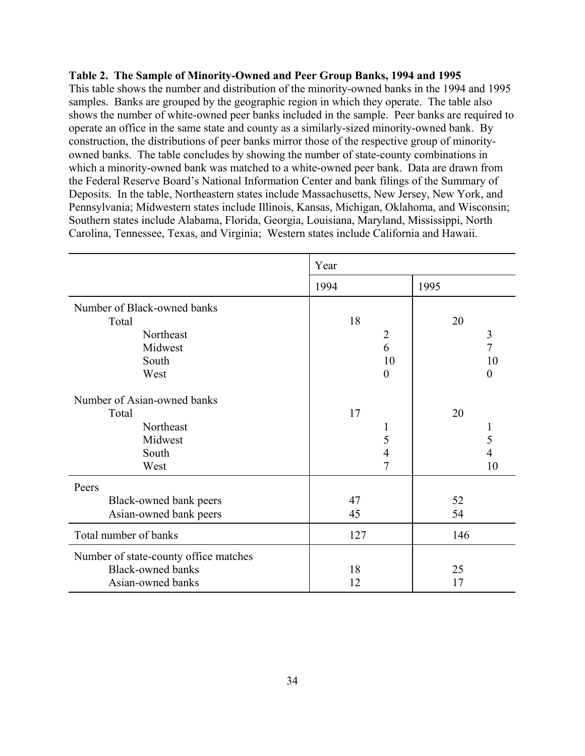#### **Table 2. The Sample of Minority-Owned and Peer Group Banks, 1994 and 1995**

This table shows the number and distribution of the minority-owned banks in the 1994 and 1995 samples. Banks are grouped by the geographic region in which they operate. The table also shows the number of white-owned peer banks included in the sample. Peer banks are required to operate an office in the same state and county as a similarly-sized minority-owned bank. By construction, the distributions of peer banks mirror those of the respective group of minorityowned banks. The table concludes by showing the number of state-county combinations in which a minority-owned bank was matched to a white-owned peer bank. Data are drawn from the Federal Reserve Board's National Information Center and bank filings of the Summary of Deposits. In the table, Northeastern states include Massachusetts, New Jersey, New York, and Pennsylvania; Midwestern states include Illinois, Kansas, Michigan, Oklahoma, and Wisconsin; Southern states include Alabama, Florida, Georgia, Louisiana, Maryland, Mississippi, North Carolina, Tennessee, Texas, and Virginia; Western states include California and Hawaii.

|                                       | Year           |                  |
|---------------------------------------|----------------|------------------|
|                                       | 1994           | 1995             |
| Number of Black-owned banks           |                |                  |
| Total                                 | 18             | 20               |
| Northeast                             | $\overline{2}$ | $\mathfrak{Z}$   |
| Midwest                               | 6              | $\overline{7}$   |
| South                                 | 10             | 10               |
| West                                  | $\theta$       | $\boldsymbol{0}$ |
| Number of Asian-owned banks           |                |                  |
| Total                                 | 17             | 20               |
| Northeast                             | 1              | 1                |
| Midwest                               | 5              | 5                |
| South                                 | $\overline{4}$ | 4                |
| West                                  | $\overline{7}$ | 10               |
| Peers                                 |                |                  |
| Black-owned bank peers                | 47             | 52               |
| Asian-owned bank peers                | 45             | 54               |
| Total number of banks                 | 127            | 146              |
| Number of state-county office matches |                |                  |
| <b>Black-owned banks</b>              | 18             | 25               |
| Asian-owned banks                     | 12             | 17               |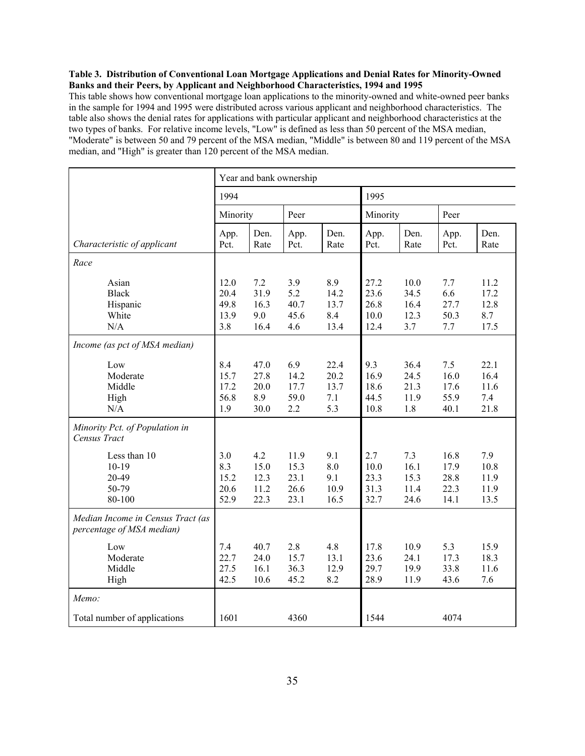#### **Table 3. Distribution of Conventional Loan Mortgage Applications and Denial Rates for Minority-Owned Banks and their Peers, by Applicant and Neighborhood Characteristics, 1994 and 1995**

This table shows how conventional mortgage loan applications to the minority-owned and white-owned peer banks in the sample for 1994 and 1995 were distributed across various applicant and neighborhood characteristics. The table also shows the denial rates for applications with particular applicant and neighborhood characteristics at the two types of banks. For relative income levels, "Low" is defined as less than 50 percent of the MSA median, "Moderate" is between 50 and 79 percent of the MSA median, "Middle" is between 80 and 119 percent of the MSA median, and "High" is greater than 120 percent of the MSA median.

|                                                                | Year and bank ownership             |                                     |                                      |                                    |                                      |                                     |                                      |                                     |
|----------------------------------------------------------------|-------------------------------------|-------------------------------------|--------------------------------------|------------------------------------|--------------------------------------|-------------------------------------|--------------------------------------|-------------------------------------|
|                                                                | 1994                                |                                     |                                      | 1995                               |                                      |                                     |                                      |                                     |
|                                                                | Minority                            |                                     | Peer                                 |                                    |                                      | Minority                            |                                      |                                     |
| Characteristic of applicant                                    | App.<br>Pct.                        | Den.<br>Rate                        | App.<br>Pct.                         | Den.<br>Rate                       | App.<br>Pct.                         | Den.<br>Rate                        | App.<br>Pct.                         | Den.<br>Rate                        |
| Race                                                           |                                     |                                     |                                      |                                    |                                      |                                     |                                      |                                     |
| Asian<br><b>Black</b><br>Hispanic<br>White<br>N/A              | 12.0<br>20.4<br>49.8<br>13.9<br>3.8 | 7.2<br>31.9<br>16.3<br>9.0<br>16.4  | 3.9<br>5.2<br>40.7<br>45.6<br>4.6    | 8.9<br>14.2<br>13.7<br>8.4<br>13.4 | 27.2<br>23.6<br>26.8<br>10.0<br>12.4 | 10.0<br>34.5<br>16.4<br>12.3<br>3.7 | 7.7<br>6.6<br>27.7<br>50.3<br>7.7    | 11.2<br>17.2<br>12.8<br>8.7<br>17.5 |
| Income (as pct of MSA median)                                  |                                     |                                     |                                      |                                    |                                      |                                     |                                      |                                     |
| Low<br>Moderate<br>Middle<br>High<br>N/A                       | 8.4<br>15.7<br>17.2<br>56.8<br>1.9  | 47.0<br>27.8<br>20.0<br>8.9<br>30.0 | 6.9<br>14.2<br>17.7<br>59.0<br>2.2   | 22.4<br>20.2<br>13.7<br>7.1<br>5.3 | 9.3<br>16.9<br>18.6<br>44.5<br>10.8  | 36.4<br>24.5<br>21.3<br>11.9<br>1.8 | 7.5<br>16.0<br>17.6<br>55.9<br>40.1  | 22.1<br>16.4<br>11.6<br>7.4<br>21.8 |
| Minority Pct. of Population in<br>Census Tract                 |                                     |                                     |                                      |                                    |                                      |                                     |                                      |                                     |
| Less than 10<br>$10-19$<br>20-49<br>50-79<br>80-100            | 3.0<br>8.3<br>15.2<br>20.6<br>52.9  | 4.2<br>15.0<br>12.3<br>11.2<br>22.3 | 11.9<br>15.3<br>23.1<br>26.6<br>23.1 | 9.1<br>8.0<br>9.1<br>10.9<br>16.5  | 2.7<br>10.0<br>23.3<br>31.3<br>32.7  | 7.3<br>16.1<br>15.3<br>11.4<br>24.6 | 16.8<br>17.9<br>28.8<br>22.3<br>14.1 | 7.9<br>10.8<br>11.9<br>11.9<br>13.5 |
| Median Income in Census Tract (as<br>percentage of MSA median) |                                     |                                     |                                      |                                    |                                      |                                     |                                      |                                     |
| Low<br>Moderate<br>Middle<br>High                              | 7.4<br>22.7<br>27.5<br>42.5         | 40.7<br>24.0<br>16.1<br>10.6        | 2.8<br>15.7<br>36.3<br>45.2          | 4.8<br>13.1<br>12.9<br>8.2         | 17.8<br>23.6<br>29.7<br>28.9         | 10.9<br>24.1<br>19.9<br>11.9        | 5.3<br>17.3<br>33.8<br>43.6          | 15.9<br>18.3<br>11.6<br>7.6         |
| Memo:                                                          |                                     |                                     |                                      |                                    |                                      |                                     |                                      |                                     |
| Total number of applications                                   | 1601                                |                                     | 4360                                 |                                    | 1544                                 |                                     | 4074                                 |                                     |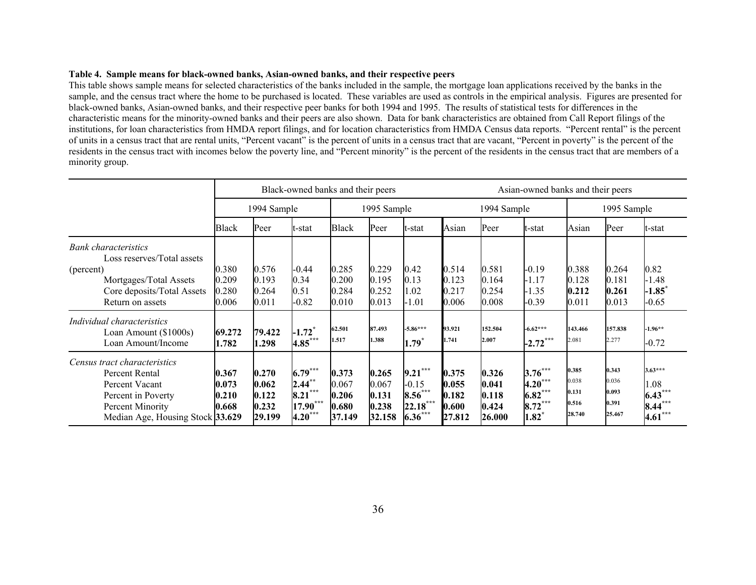#### **Table 4. Sample means for black-owned banks, Asian-owned banks, and their respective peers**

This table shows sample means for selected characteristics of the banks included in the sample, the mortgage loan applications received by the banks in the sample, and the census tract where the home to be purchased is located. These variables are used as controls in the empirical analysis. Figures are presented for black-owned banks, Asian-owned banks, and their respective peer banks for both 1994 and 1995. The results of statistical tests for differences in the characteristic means for the minority-owned banks and their peers are also shown. Data for bank characteristics are obtained from Call Report filings of the institutions, for loan characteristics from HMDA report filings, and for location characteristics from HMDA Census data reports. "Percent rental" is the percent of units in a census tract that are rental units, "Percent vacant" is the percent of units in a census tract that are vacant, "Percent in poverty" is the percent of the residents in the census tract with incomes below the poverty line, and "Percent minority" is the percent of the residents in the census tract that are members of a minority group.

|                                                                                                                                                    | Black-owned banks and their peers |                                            |                                                                   |                                            |                                            | Asian-owned banks and their peers                                 |                                            |                                            |                                                                 |                                            |                                            |                                                      |
|----------------------------------------------------------------------------------------------------------------------------------------------------|-----------------------------------|--------------------------------------------|-------------------------------------------------------------------|--------------------------------------------|--------------------------------------------|-------------------------------------------------------------------|--------------------------------------------|--------------------------------------------|-----------------------------------------------------------------|--------------------------------------------|--------------------------------------------|------------------------------------------------------|
|                                                                                                                                                    | 1994 Sample                       |                                            |                                                                   | 1995 Sample                                |                                            |                                                                   | 1994 Sample                                |                                            | 1995 Sample                                                     |                                            |                                            |                                                      |
|                                                                                                                                                    | <b>Black</b>                      | Peer                                       | t-stat                                                            | <b>Black</b>                               | Peer                                       | lt-stat                                                           | Asian                                      | Peer                                       | t-stat                                                          | Asian                                      | Peer                                       | t-stat                                               |
| <b>Bank</b> characteristics<br>Loss reserves/Total assets<br>(percent)<br>Mortgages/Total Assets<br>Core deposits/Total Assets<br>Return on assets | 0.380<br>0.209<br>0.280<br>0.006  | 0.576<br>0.193<br>0.264<br>0.011           | $-0.44$<br>0.34<br>0.51<br>$-0.82$                                | 0.285<br>0.200<br>0.284<br>0.010           | 0.229<br>0.195<br>0.252<br>0.013           | 0.42<br>0.13<br>1.02<br>$-1.01$                                   | 0.514<br>0.123<br>0.217<br>0.006           | 0.581<br>0.164<br>0.254<br>0.008           | $-0.19$<br>$-1.17$<br>-1.35<br>$-0.39$                          | 0.388<br>0.128<br>0.212<br>0.011           | 0.264<br>0.181<br>0.261<br>0.013           | 0.82<br>$-1.48$<br>$-1.85$<br>$-0.65$                |
| Individual characteristics<br>Loan Amount (\$1000s)<br>Loan Amount/Income                                                                          | 69.272<br>1.782                   | 79.422<br>1.298                            | $-1.72$ <sup>*</sup><br>4.85***                                   | 62.501<br>1.517                            | 87.493<br>1.388                            | $-5.86***$<br>$1.79*$                                             | 93.921<br>1.741                            | 152.504<br>2.007                           | $-6.62***$<br>$-2.72***$                                        | 143.466<br>2.081                           | 157.838<br>2.277                           | $-1.96**$<br>$-0.72$                                 |
| Census tract characteristics<br>Percent Rental<br>Percent Vacant<br>Percent in Poverty<br>Percent Minority<br>Median Age, Housing Stock 33.629     | 0.367<br>0.073<br>0.210<br>0.668  | 0.270<br>0.062<br>0.122<br>0.232<br>29.199 | $6.79***$<br>$2.44***$<br>$8.21***$<br>$17.90***$<br>$4.20^\circ$ | 0.373<br>0.067<br>0.206<br>0.680<br>37.149 | 0.265<br>0.067<br>0.131<br>0.238<br>32.158 | ***<br>9.21<br>$-0.15$<br>$8.56***$<br>$22.18***$<br>$6.36^\circ$ | 0.375<br>0.055<br>0.182<br>0.600<br>27.812 | 0.326<br>0.041<br>0.118<br>0.424<br>26.000 | $3.76***$<br>$4.20***$<br>$6.82***$<br>8.72<br>$1.82^{\degree}$ | 0.385<br>0.038<br>0.131<br>0.516<br>28.740 | 0.343<br>0.036<br>0.093<br>0.391<br>25.467 | $3.63***$<br>.08<br>$6.43^{\degree}$<br>8.44<br>4.61 |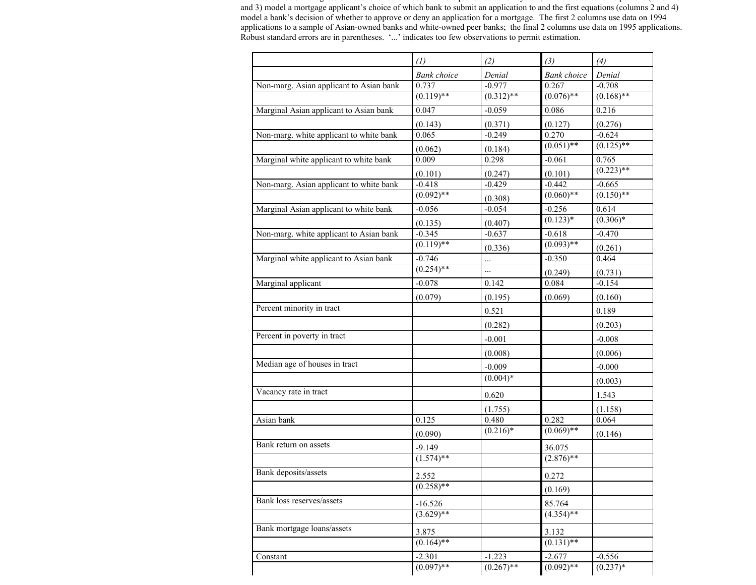This table shows the regression results for estimates of <sup>a</sup> two equation selection system, where the selection equations (columns 1 and 3) model a mortgage applicant's choice of which bank to submit an application to and the first equations (columns 2 and 4) model a bank's decision of whether to approve or deny an application for a mortgage. The first 2 columns use data on 1994 applications to a sample of Asian-owned banks and white-owned peer banks; the final 2 columns use data on 1995 applications. Robust standard errors are in parentheses. '...' indicates too few observations to permit estimation.

|                                         | (1)                | (2)          | (3)                | (4)          |
|-----------------------------------------|--------------------|--------------|--------------------|--------------|
|                                         | <b>Bank</b> choice | Denial       | <b>Bank</b> choice | Denial       |
| Non-marg. Asian applicant to Asian bank | 0.737              | $-0.977$     | 0.267              | $-0.708$     |
|                                         | $(0.119)$ **       | $(0.312)$ ** | $(0.076)$ **       | $(0.168)$ ** |
| Marginal Asian applicant to Asian bank  | 0.047              | $-0.059$     | 0.086              | 0.216        |
|                                         | (0.143)            | (0.371)      | (0.127)            | (0.276)      |
| Non-marg. white applicant to white bank | 0.065              | $-0.249$     | 0.270              | $-0.624$     |
|                                         | (0.062)            | (0.184)      | $(0.051)$ **       | $(0.125)$ ** |
| Marginal white applicant to white bank  | 0.009              | 0.298        | $-0.061$           | 0.765        |
|                                         | (0.101)            | (0.247)      | (0.101)            | $(0.223)$ ** |
| Non-marg. Asian applicant to white bank | $-0.418$           | $-0.429$     | $-0.442$           | $-0.665$     |
|                                         | $(0.092)$ **       | (0.308)      | $(0.060)**$        | $(0.150)$ ** |
| Marginal Asian applicant to white bank  | $-0.056$           | $-0.054$     | $-0.256$           | 0.614        |
|                                         | (0.135)            | (0.407)      | $(0.123)*$         | $(0.306)*$   |
| Non-marg. white applicant to Asian bank | $-0.345$           | $-0.637$     | $-0.618$           | $-0.470$     |
|                                         | $(0.119)$ **       | (0.336)      | $(0.093)$ **       | (0.261)      |
| Marginal white applicant to Asian bank  | $-0.746$           | $\cdots$     | $-0.350$           | 0.464        |
|                                         | $(0.254)$ **       | $\cdots$     | (0.249)            | (0.731)      |
| Marginal applicant                      | $-0.078$           | 0.142        | 0.084              | $-0.154$     |
|                                         | (0.079)            | (0.195)      | (0.069)            | (0.160)      |
| Percent minority in tract               |                    | 0.521        |                    | 0.189        |
|                                         |                    | (0.282)      |                    | (0.203)      |
| Percent in poverty in tract             |                    | $-0.001$     |                    | $-0.008$     |
|                                         |                    | (0.008)      |                    | (0.006)      |
| Median age of houses in tract           |                    | $-0.009$     |                    | $-0.000$     |
|                                         |                    | $(0.004)$ *  |                    | (0.003)      |
| Vacancy rate in tract                   |                    | 0.620        |                    | 1.543        |
|                                         |                    | (1.755)      |                    | (1.158)      |
| Asian bank                              | 0.125              | 0.480        | 0.282              | 0.064        |
|                                         | (0.090)            | $(0.216)^*$  | $(0.069)$ **       | (0.146)      |
| Bank return on assets                   | $-9.149$           |              | 36.075             |              |
|                                         | $(1.574)$ **       |              | $(2.876)$ **       |              |
| Bank deposits/assets                    | 2.552              |              | 0.272              |              |
|                                         | $(0.258)$ **       |              | (0.169)            |              |
| Bank loss reserves/assets               | $-16.526$          |              | 85.764             |              |
|                                         | $(3.629)$ **       |              | $(4.354)$ **       |              |
| Bank mortgage loans/assets              | 3.875              |              | 3.132              |              |
|                                         | $(0.164)$ **       |              | $(0.131)$ **       |              |
| Constant                                | $-2.301$           | $-1.223$     | $-2.677$           | $-0.556$     |
|                                         | $(0.097)$ **       | $(0.267)$ ** | $(0.092)$ **       | $(0.237)*$   |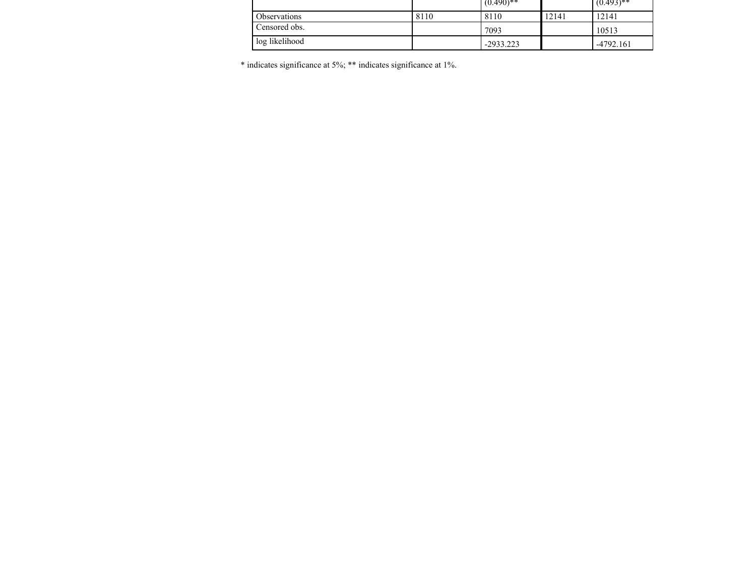|                |      | $(0.490)$ ** |       | $(0.493)$ ** |
|----------------|------|--------------|-------|--------------|
| Observations   | 8110 | 8110         | 12141 | 12141        |
| Censored obs.  |      | 7093         |       | 10513        |
| log likelihood |      | $-2933.223$  |       | $-4792.161$  |

\* indicates significance at 5%; \*\* indicates significance at 1%.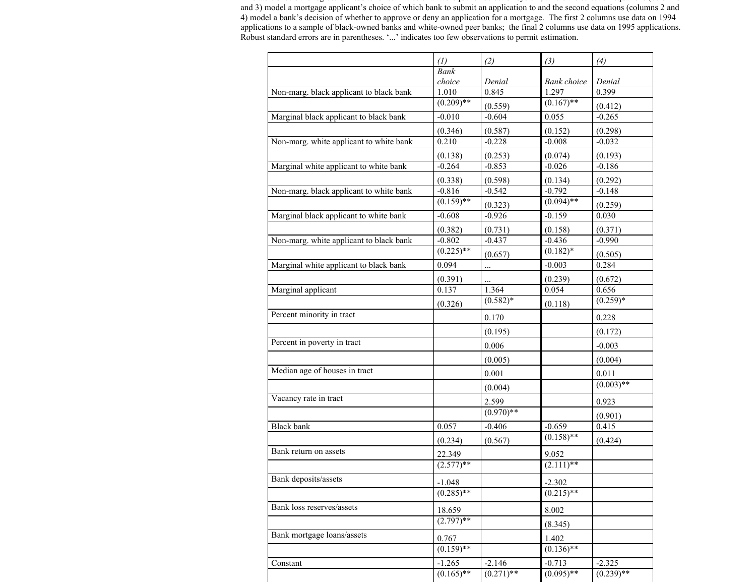This table shows the regression results for estimates of <sup>a</sup> two equation selection system, where the selection equations (columns 1 and 3) model a mortgage applicant's choice of which bank to submit an application to and the second equations (columns 2 and 4) model a bank's decision of whether to approve or deny an application for a mortgage. The first 2 columns use data on 1994 applications to a sample of black-owned banks and white-owned peer banks; the final 2 columns use data on 1995 applications. Robust standard errors are in parentheses. '...' indicates too few observations to permit estimation.

|                                         | (1)          | (2)          | (3)                | (4)          |
|-----------------------------------------|--------------|--------------|--------------------|--------------|
|                                         | <b>Bank</b>  |              |                    |              |
|                                         | choice       | Denial       | <b>Bank</b> choice | Denial       |
| Non-marg. black applicant to black bank | 1.010        | 0.845        | 1.297              | 0.399        |
|                                         | $(0.209)$ ** | (0.559)      | $(0.167)$ **       | (0.412)      |
| Marginal black applicant to black bank  | $-0.010$     | $-0.604$     | 0.055              | $-0.265$     |
|                                         | (0.346)      | (0.587)      | (0.152)            | (0.298)      |
| Non-marg. white applicant to white bank | 0.210        | $-0.228$     | $-0.008$           | $-0.032$     |
|                                         | (0.138)      | (0.253)      | (0.074)            | (0.193)      |
| Marginal white applicant to white bank  | $-0.264$     | $-0.853$     | $-0.026$           | $-0.186$     |
|                                         | (0.338)      | (0.598)      | (0.134)            | (0.292)      |
| Non-marg. black applicant to white bank | $-0.816$     | $-0.542$     | $-0.792$           | $-0.148$     |
|                                         | $(0.159)$ ** | (0.323)      | $(0.094)$ **       | (0.259)      |
| Marginal black applicant to white bank  | $-0.608$     | $-0.926$     | $-0.159$           | 0.030        |
|                                         | (0.382)      | (0.731)      | (0.158)            | (0.371)      |
| Non-marg. white applicant to black bank | $-0.802$     | $-0.437$     | $-0.436$           | $-0.990$     |
|                                         | $(0.225)$ ** | (0.657)      | $(0.182)*$         | (0.505)      |
| Marginal white applicant to black bank  | 0.094        | $\cdots$     | $-0.003$           | 0.284        |
|                                         | (0.391)      | $\ddotsc$    | (0.239)            | (0.672)      |
| Marginal applicant                      | 0.137        | 1.364        | 0.054              | 0.656        |
|                                         | (0.326)      | $(0.582)*$   | (0.118)            | $(0.259)*$   |
| Percent minority in tract               |              | 0.170        |                    | 0.228        |
|                                         |              | (0.195)      |                    | (0.172)      |
| Percent in poverty in tract             |              | 0.006        |                    | $-0.003$     |
|                                         |              | (0.005)      |                    | (0.004)      |
| Median age of houses in tract           |              | 0.001        |                    | 0.011        |
|                                         |              | (0.004)      |                    | $(0.003)$ ** |
| Vacancy rate in tract                   |              | 2.599        |                    | 0.923        |
|                                         |              | $(0.970)$ ** |                    | (0.901)      |
| <b>Black</b> bank                       | 0.057        | $-0.406$     | $-0.659$           | 0.415        |
|                                         | (0.234)      | (0.567)      | $(0.158)$ **       | (0.424)      |
| Bank return on assets                   | 22.349       |              | 9.052              |              |
|                                         | $(2.577)**$  |              | $(2.111)**$        |              |
| Bank deposits/assets                    | $-1.048$     |              | $-2.302$           |              |
|                                         | $(0.285)$ ** |              | $(0.215)$ **       |              |
| Bank loss reserves/assets               | 18.659       |              | 8.002              |              |
|                                         | $(2.797)$ ** |              | (8.345)            |              |
| Bank mortgage loans/assets              | 0.767        |              | 1.402              |              |
|                                         | $(0.159)$ ** |              | $(0.136)$ **       |              |
| Constant                                | $-1.265$     | $-2.146$     | $-0.713$           | $-2.325$     |
|                                         | $(0.165)$ ** | $(0.271)$ ** | $(0.095)$ **       | $(0.239)$ ** |